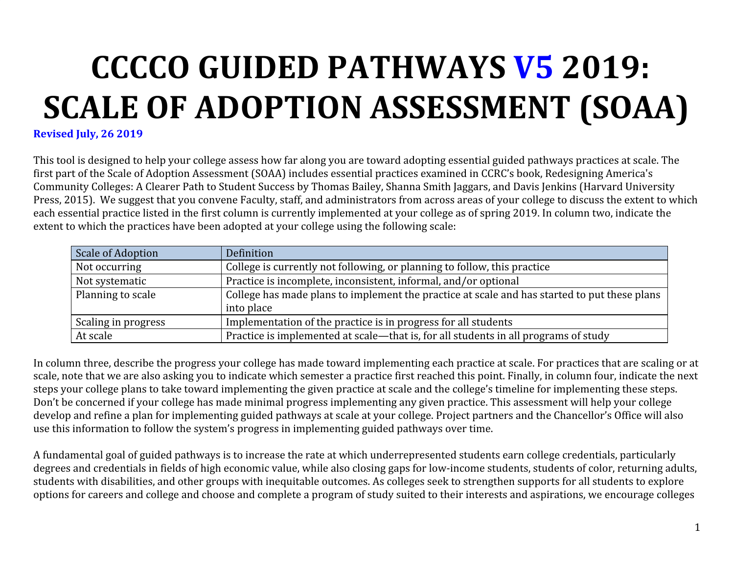# **CCCCO GUIDED PATHWAYS V5 2019: SCALE OF ADOPTION ASSESSMENT (SOAA)**

**Revised July, 26 2019**

This tool is designed to help your college assess how far along you are toward adopting essential guided pathways practices at scale. The first part of the Scale of Adoption Assessment (SOAA) includes essential practices examined in CCRC's book, Redesigning America's Community Colleges: A Clearer Path to Student Success by Thomas Bailey, Shanna Smith Jaggars, and Davis Jenkins (Harvard University Press, 2015). We suggest that you convene Faculty, staff, and administrators from across areas of your college to discuss the extent to which each essential practice listed in the first column is currently implemented at your college as of spring 2019. In column two, indicate the extent to which the practices have been adopted at your college using the following scale:

| Scale of Adoption   | Definition                                                                                   |
|---------------------|----------------------------------------------------------------------------------------------|
| Not occurring       | College is currently not following, or planning to follow, this practice                     |
| Not systematic      | Practice is incomplete, inconsistent, informal, and/or optional                              |
| Planning to scale   | College has made plans to implement the practice at scale and has started to put these plans |
|                     | into place                                                                                   |
| Scaling in progress | Implementation of the practice is in progress for all students                               |
| At scale            | Practice is implemented at scale—that is, for all students in all programs of study          |

In column three, describe the progress your college has made toward implementing each practice at scale. For practices that are scaling or at scale, note that we are also asking you to indicate which semester a practice first reached this point. Finally, in column four, indicate the next steps your college plans to take toward implementing the given practice at scale and the college's timeline for implementing these steps. Don't be concerned if your college has made minimal progress implementing any given practice. This assessment will help your college develop and refine a plan for implementing guided pathways at scale at your college. Project partners and the Chancellor's Office will also use this information to follow the system's progress in implementing guided pathways over time.

A fundamental goal of guided pathways is to increase the rate at which underrepresented students earn college credentials, particularly degrees and credentials in fields of high economic value, while also closing gaps for low-income students, students of color, returning adults, students with disabilities, and other groups with inequitable outcomes. As colleges seek to strengthen supports for all students to explore options for careers and college and choose and complete a program of study suited to their interests and aspirations, we encourage colleges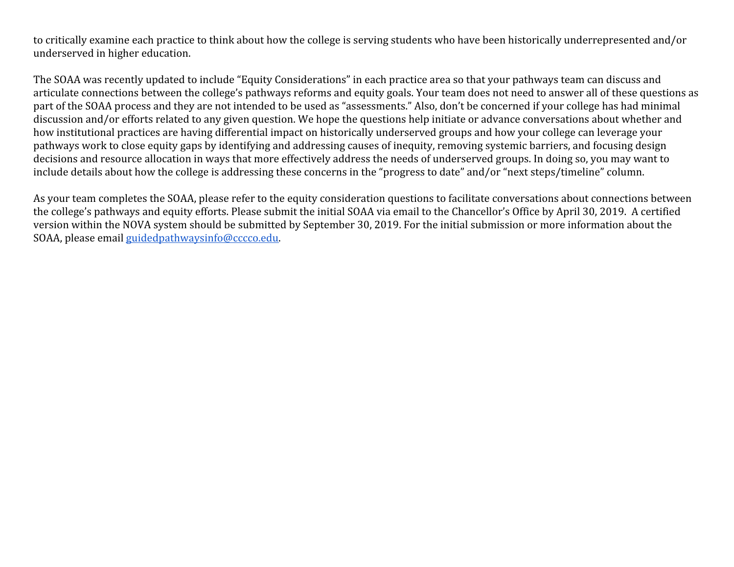to critically examine each practice to think about how the college is serving students who have been historically underrepresented and/or underserved in higher education.

The SOAA was recently updated to include "Equity Considerations" in each practice area so that your pathways team can discuss and articulate connections between the college's pathways reforms and equity goals. Your team does not need to answer all of these questions as part of the SOAA process and they are not intended to be used as "assessments." Also, don't be concerned if your college has had minimal discussion and/or efforts related to any given question. We hope the questions help initiate or advance conversations about whether and how institutional practices are having differential impact on historically underserved groups and how your college can leverage your pathways work to close equity gaps by identifying and addressing causes of inequity, removing systemic barriers, and focusing design decisions and resource allocation in ways that more effectively address the needs of underserved groups. In doing so, you may want to include details about how the college is addressing these concerns in the "progress to date" and/or "next steps/timeline" column.

As your team completes the SOAA, please refer to the equity consideration questions to facilitate conversations about connections between the college's pathways and equity efforts. Please submit the initial SOAA via email to the Chancellor's Office by April 30, 2019. A certified version within the NOVA system should be submitted by September 30, 2019. For the initial submission or more information about the SOAA, please email [guidedpathwaysinfo@cccco.edu.](mailto:guidedpathwaysinfo@cccco.edu)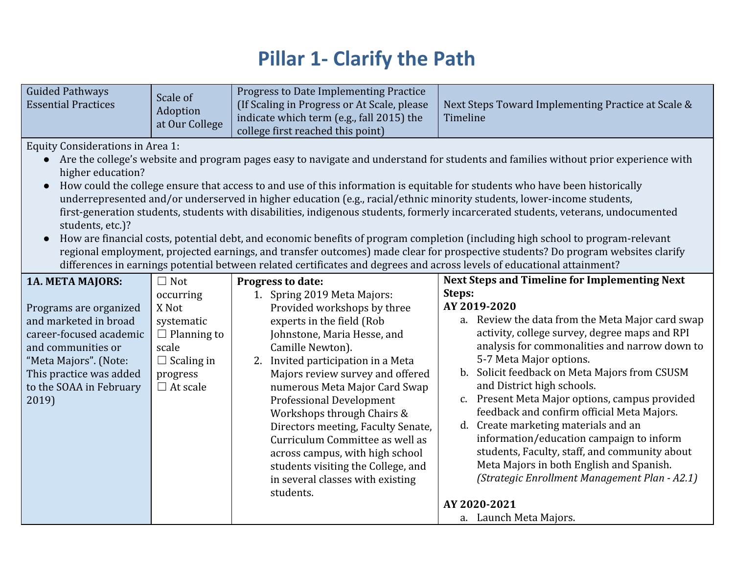## **Pillar 1- Clarify the Path**

| <b>Guided Pathways</b><br><b>Essential Practices</b>                                                                                                                                     | Scale of<br>Adoption<br>at Our College                                                                              | Progress to Date Implementing Practice<br>(If Scaling in Progress or At Scale, please<br>indicate which term (e.g., fall 2015) the<br>college first reached this point)                                                                                                                                                                                                                                                                                                                                                   | Next Steps Toward Implementing Practice at Scale &<br>Timeline                                                                                                                                                                                                                                                                                                                                                                                                                                                                                                                                                                           |
|------------------------------------------------------------------------------------------------------------------------------------------------------------------------------------------|---------------------------------------------------------------------------------------------------------------------|---------------------------------------------------------------------------------------------------------------------------------------------------------------------------------------------------------------------------------------------------------------------------------------------------------------------------------------------------------------------------------------------------------------------------------------------------------------------------------------------------------------------------|------------------------------------------------------------------------------------------------------------------------------------------------------------------------------------------------------------------------------------------------------------------------------------------------------------------------------------------------------------------------------------------------------------------------------------------------------------------------------------------------------------------------------------------------------------------------------------------------------------------------------------------|
| <b>Equity Considerations in Area 1:</b><br>higher education?<br>$\bullet$<br>students, etc.)?                                                                                            |                                                                                                                     | How could the college ensure that access to and use of this information is equitable for students who have been historically<br>underrepresented and/or underserved in higher education (e.g., racial/ethnic minority students, lower-income students,<br>differences in earnings potential between related certificates and degrees and across levels of educational attainment?                                                                                                                                         | • Are the college's website and program pages easy to navigate and understand for students and families without prior experience with<br>first-generation students, students with disabilities, indigenous students, formerly incarcerated students, veterans, undocumented<br>How are financial costs, potential debt, and economic benefits of program completion (including high school to program-relevant<br>regional employment, projected earnings, and transfer outcomes) made clear for prospective students? Do program websites clarify                                                                                       |
| <b>1A. META MAJORS:</b>                                                                                                                                                                  | $\Box$ Not                                                                                                          | Progress to date:                                                                                                                                                                                                                                                                                                                                                                                                                                                                                                         | <b>Next Steps and Timeline for Implementing Next</b>                                                                                                                                                                                                                                                                                                                                                                                                                                                                                                                                                                                     |
| Programs are organized<br>and marketed in broad<br>career-focused academic<br>and communities or<br>"Meta Majors". (Note:<br>This practice was added<br>to the SOAA in February<br>2019) | occurring<br>X Not<br>systematic<br>$\Box$ Planning to<br>scale<br>$\Box$ Scaling in<br>progress<br>$\Box$ At scale | 1. Spring 2019 Meta Majors:<br>Provided workshops by three<br>experts in the field (Rob<br>Johnstone, Maria Hesse, and<br>Camille Newton).<br>2. Invited participation in a Meta<br>Majors review survey and offered<br>numerous Meta Major Card Swap<br><b>Professional Development</b><br>Workshops through Chairs &<br>Directors meeting, Faculty Senate,<br>Curriculum Committee as well as<br>across campus, with high school<br>students visiting the College, and<br>in several classes with existing<br>students. | Steps:<br>AY 2019-2020<br>a. Review the data from the Meta Major card swap<br>activity, college survey, degree maps and RPI<br>analysis for commonalities and narrow down to<br>5-7 Meta Major options.<br>b. Solicit feedback on Meta Majors from CSUSM<br>and District high schools.<br>c. Present Meta Major options, campus provided<br>feedback and confirm official Meta Majors.<br>d. Create marketing materials and an<br>information/education campaign to inform<br>students, Faculty, staff, and community about<br>Meta Majors in both English and Spanish.<br>(Strategic Enrollment Management Plan - A2.1)<br>AY 2020-2021 |
|                                                                                                                                                                                          |                                                                                                                     |                                                                                                                                                                                                                                                                                                                                                                                                                                                                                                                           | a. Launch Meta Majors.                                                                                                                                                                                                                                                                                                                                                                                                                                                                                                                                                                                                                   |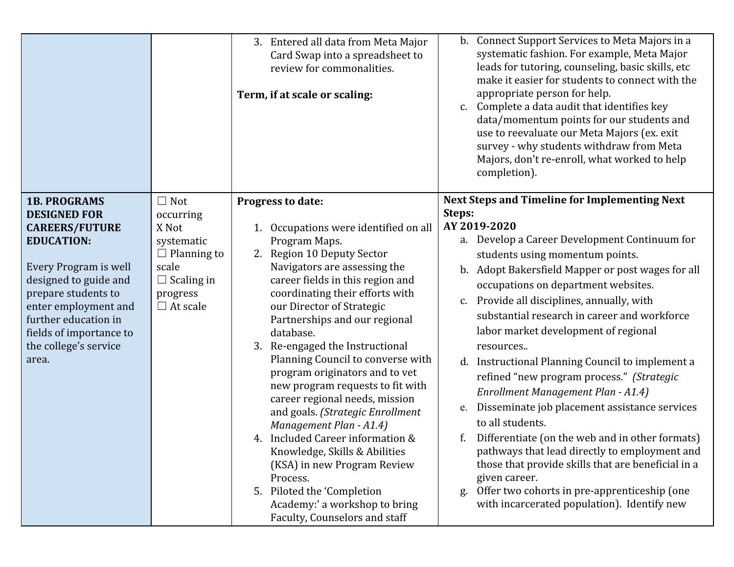|                                                                                                                                                                                                                                                                                |                                                                                                                                   | 3. Entered all data from Meta Major<br>Card Swap into a spreadsheet to<br>review for commonalities.<br>Term, if at scale or scaling:                                                                                                                                                                                                                                                                                                                                                                                                                                                                                                                                                                                                                          | b. Connect Support Services to Meta Majors in a<br>systematic fashion. For example, Meta Major<br>leads for tutoring, counseling, basic skills, etc<br>make it easier for students to connect with the<br>appropriate person for help.<br>Complete a data audit that identifies key<br>c.<br>data/momentum points for our students and<br>use to reevaluate our Meta Majors (ex. exit<br>survey - why students withdraw from Meta<br>Majors, don't re-enroll, what worked to help<br>completion).                                                                                                                                                                                                                                                                                                                                                                                                                                  |
|--------------------------------------------------------------------------------------------------------------------------------------------------------------------------------------------------------------------------------------------------------------------------------|-----------------------------------------------------------------------------------------------------------------------------------|---------------------------------------------------------------------------------------------------------------------------------------------------------------------------------------------------------------------------------------------------------------------------------------------------------------------------------------------------------------------------------------------------------------------------------------------------------------------------------------------------------------------------------------------------------------------------------------------------------------------------------------------------------------------------------------------------------------------------------------------------------------|------------------------------------------------------------------------------------------------------------------------------------------------------------------------------------------------------------------------------------------------------------------------------------------------------------------------------------------------------------------------------------------------------------------------------------------------------------------------------------------------------------------------------------------------------------------------------------------------------------------------------------------------------------------------------------------------------------------------------------------------------------------------------------------------------------------------------------------------------------------------------------------------------------------------------------|
| <b>1B. PROGRAMS</b><br><b>DESIGNED FOR</b><br><b>CAREERS/FUTURE</b><br><b>EDUCATION:</b><br>Every Program is well<br>designed to guide and<br>prepare students to<br>enter employment and<br>further education in<br>fields of importance to<br>the college's service<br>area. | $\Box$ Not<br>occurring<br>X Not<br>systematic<br>$\Box$ Planning to<br>scale<br>$\Box$ Scaling in<br>progress<br>$\Box$ At scale | Progress to date:<br>1. Occupations were identified on all<br>Program Maps.<br>2. Region 10 Deputy Sector<br>Navigators are assessing the<br>career fields in this region and<br>coordinating their efforts with<br>our Director of Strategic<br>Partnerships and our regional<br>database.<br>3. Re-engaged the Instructional<br>Planning Council to converse with<br>program originators and to vet<br>new program requests to fit with<br>career regional needs, mission<br>and goals. (Strategic Enrollment<br>Management Plan - A1.4)<br>4. Included Career information &<br>Knowledge, Skills & Abilities<br>(KSA) in new Program Review<br>Process.<br>Piloted the 'Completion<br>5.<br>Academy:' a workshop to bring<br>Faculty, Counselors and staff | <b>Next Steps and Timeline for Implementing Next</b><br>Steps:<br>AY 2019-2020<br>a. Develop a Career Development Continuum for<br>students using momentum points.<br>Adopt Bakersfield Mapper or post wages for all<br>b.<br>occupations on department websites.<br>Provide all disciplines, annually, with<br>$c_{\cdot}$<br>substantial research in career and workforce<br>labor market development of regional<br>resources<br>d. Instructional Planning Council to implement a<br>refined "new program process." (Strategic<br>Enrollment Management Plan - A1.4)<br>Disseminate job placement assistance services<br>e.<br>to all students.<br>Differentiate (on the web and in other formats)<br>pathways that lead directly to employment and<br>those that provide skills that are beneficial in a<br>given career.<br>Offer two cohorts in pre-apprenticeship (one<br>g.<br>with incarcerated population). Identify new |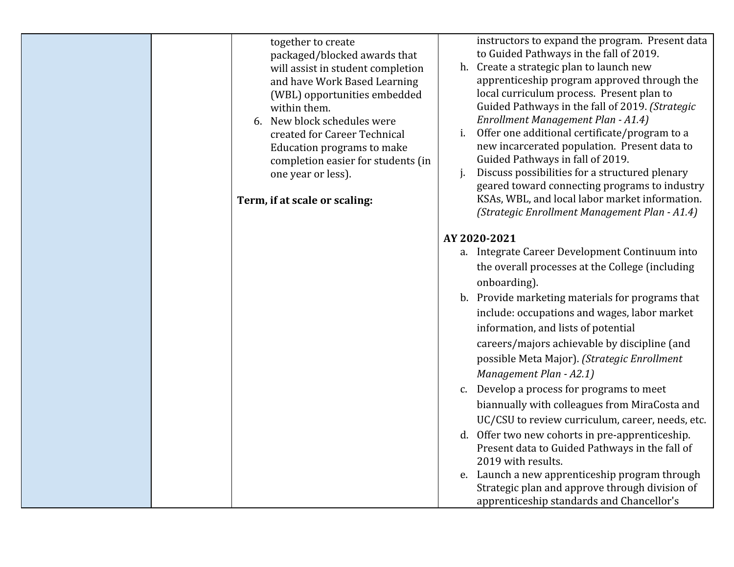| together to create<br>packaged/blocked awards that<br>will assist in student completion<br>and have Work Based Learning<br>(WBL) opportunities embedded<br>within them.<br>6. New block schedules were<br>created for Career Technical<br>Education programs to make<br>completion easier for students (in<br>one year or less).<br>Term, if at scale or scaling: | instructors to expand the program. Present data<br>to Guided Pathways in the fall of 2019.<br>h. Create a strategic plan to launch new<br>apprenticeship program approved through the<br>local curriculum process. Present plan to<br>Guided Pathways in the fall of 2019. (Strategic<br>Enrollment Management Plan - A1.4)<br>Offer one additional certificate/program to a<br>new incarcerated population. Present data to<br>Guided Pathways in fall of 2019.<br>Discuss possibilities for a structured plenary<br>geared toward connecting programs to industry<br>KSAs, WBL, and local labor market information.                                                                                                                |
|-------------------------------------------------------------------------------------------------------------------------------------------------------------------------------------------------------------------------------------------------------------------------------------------------------------------------------------------------------------------|--------------------------------------------------------------------------------------------------------------------------------------------------------------------------------------------------------------------------------------------------------------------------------------------------------------------------------------------------------------------------------------------------------------------------------------------------------------------------------------------------------------------------------------------------------------------------------------------------------------------------------------------------------------------------------------------------------------------------------------|
|                                                                                                                                                                                                                                                                                                                                                                   | (Strategic Enrollment Management Plan - A1.4)<br>AY 2020-2021<br>a. Integrate Career Development Continuum into<br>the overall processes at the College (including<br>onboarding).<br>b. Provide marketing materials for programs that<br>include: occupations and wages, labor market<br>information, and lists of potential<br>careers/majors achievable by discipline (and<br>possible Meta Major). (Strategic Enrollment<br>Management Plan - A2.1)<br>c. Develop a process for programs to meet<br>biannually with colleagues from MiraCosta and<br>UC/CSU to review curriculum, career, needs, etc.<br>d. Offer two new cohorts in pre-apprenticeship.<br>Present data to Guided Pathways in the fall of<br>2019 with results. |
|                                                                                                                                                                                                                                                                                                                                                                   | e. Launch a new apprenticeship program through<br>Strategic plan and approve through division of<br>apprenticeship standards and Chancellor's                                                                                                                                                                                                                                                                                                                                                                                                                                                                                                                                                                                        |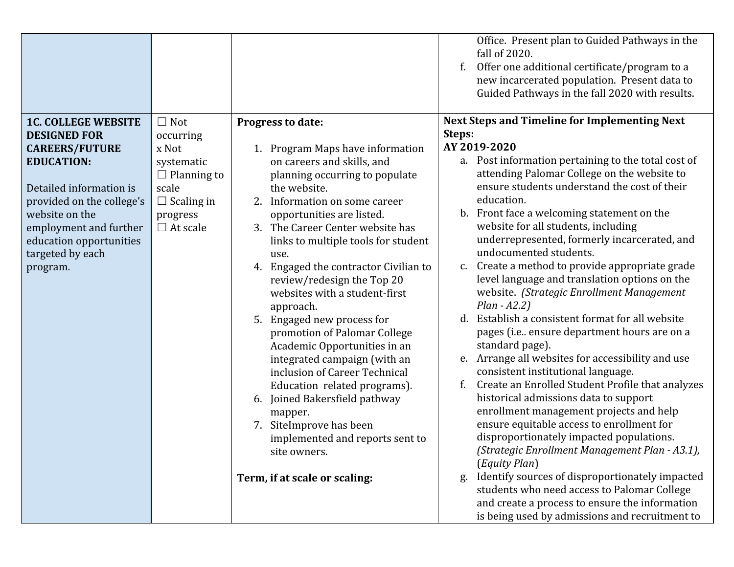|                                                                                                                                                                                                           | $\Box$ Not                                                                                             |                                                                                                                                                                                                                                                                                                                                                                                                                                                                                                                                                                                                                                                                                                    | Office. Present plan to Guided Pathways in the<br>fall of 2020.<br>Offer one additional certificate/program to a<br>new incarcerated population. Present data to<br>Guided Pathways in the fall 2020 with results.<br><b>Next Steps and Timeline for Implementing Next</b>                                                                                                                                                                                                                                                                                                                                                                                                                                                                                                                                                                                                                                                                              |
|-----------------------------------------------------------------------------------------------------------------------------------------------------------------------------------------------------------|--------------------------------------------------------------------------------------------------------|----------------------------------------------------------------------------------------------------------------------------------------------------------------------------------------------------------------------------------------------------------------------------------------------------------------------------------------------------------------------------------------------------------------------------------------------------------------------------------------------------------------------------------------------------------------------------------------------------------------------------------------------------------------------------------------------------|---------------------------------------------------------------------------------------------------------------------------------------------------------------------------------------------------------------------------------------------------------------------------------------------------------------------------------------------------------------------------------------------------------------------------------------------------------------------------------------------------------------------------------------------------------------------------------------------------------------------------------------------------------------------------------------------------------------------------------------------------------------------------------------------------------------------------------------------------------------------------------------------------------------------------------------------------------|
| <b>1C. COLLEGE WEBSITE</b><br><b>DESIGNED FOR</b>                                                                                                                                                         | occurring                                                                                              | Progress to date:                                                                                                                                                                                                                                                                                                                                                                                                                                                                                                                                                                                                                                                                                  | Steps:<br>AY 2019-2020                                                                                                                                                                                                                                                                                                                                                                                                                                                                                                                                                                                                                                                                                                                                                                                                                                                                                                                                  |
| <b>CAREERS/FUTURE</b><br><b>EDUCATION:</b><br>Detailed information is<br>provided on the college's<br>website on the<br>employment and further<br>education opportunities<br>targeted by each<br>program. | x Not<br>systematic<br>$\Box$ Planning to<br>scale<br>$\Box$ Scaling in<br>progress<br>$\Box$ At scale | 1. Program Maps have information<br>on careers and skills, and<br>planning occurring to populate<br>the website.<br>2. Information on some career<br>opportunities are listed.<br>3. The Career Center website has<br>links to multiple tools for student<br>use.<br>4. Engaged the contractor Civilian to<br>review/redesign the Top 20<br>websites with a student-first<br>approach.<br>5. Engaged new process for<br>promotion of Palomar College<br>Academic Opportunities in an<br>integrated campaign (with an<br>inclusion of Career Technical<br>Education related programs).<br>Joined Bakersfield pathway<br>6.<br>mapper.<br>7. SiteImprove has been<br>implemented and reports sent to | a. Post information pertaining to the total cost of<br>attending Palomar College on the website to<br>ensure students understand the cost of their<br>education.<br>b. Front face a welcoming statement on the<br>website for all students, including<br>underrepresented, formerly incarcerated, and<br>undocumented students.<br>c. Create a method to provide appropriate grade<br>level language and translation options on the<br>website. (Strategic Enrollment Management<br>$Plan - A2.2)$<br>d. Establish a consistent format for all website<br>pages (i.e ensure department hours are on a<br>standard page).<br>Arrange all websites for accessibility and use<br>e.<br>consistent institutional language.<br>Create an Enrolled Student Profile that analyzes<br>historical admissions data to support<br>enrollment management projects and help<br>ensure equitable access to enrollment for<br>disproportionately impacted populations. |
|                                                                                                                                                                                                           |                                                                                                        | site owners.<br>Term, if at scale or scaling:                                                                                                                                                                                                                                                                                                                                                                                                                                                                                                                                                                                                                                                      | (Strategic Enrollment Management Plan - A3.1),<br>(Equity Plan)<br>Identify sources of disproportionately impacted<br>g.<br>students who need access to Palomar College<br>and create a process to ensure the information<br>is being used by admissions and recruitment to                                                                                                                                                                                                                                                                                                                                                                                                                                                                                                                                                                                                                                                                             |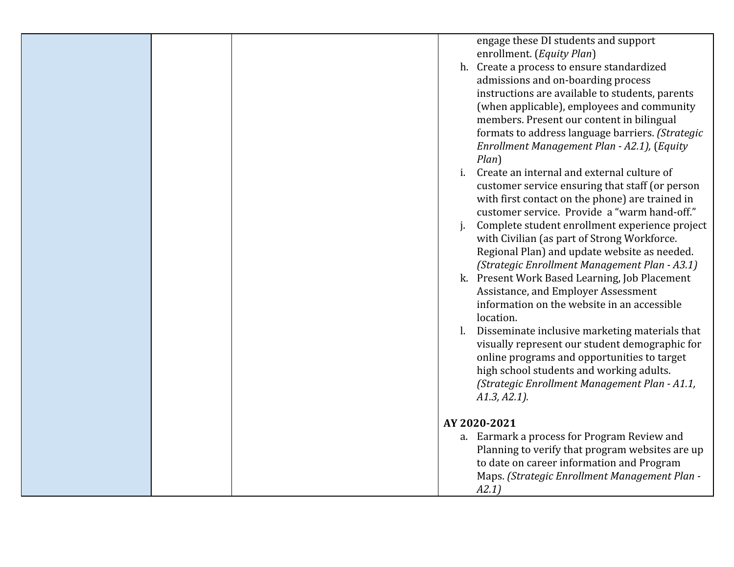|  |    | engage these DI students and support              |
|--|----|---------------------------------------------------|
|  |    | enrollment. (Equity Plan)                         |
|  |    | h. Create a process to ensure standardized        |
|  |    | admissions and on-boarding process                |
|  |    | instructions are available to students, parents   |
|  |    | (when applicable), employees and community        |
|  |    | members. Present our content in bilingual         |
|  |    | formats to address language barriers. (Strategic  |
|  |    | Enrollment Management Plan - A2.1), (Equity       |
|  |    | $Plan$ )                                          |
|  | i. | Create an internal and external culture of        |
|  |    | customer service ensuring that staff (or person   |
|  |    | with first contact on the phone) are trained in   |
|  |    | customer service. Provide a "warm hand-off."      |
|  |    | Complete student enrollment experience project    |
|  |    | with Civilian (as part of Strong Workforce.       |
|  |    | Regional Plan) and update website as needed.      |
|  |    | (Strategic Enrollment Management Plan - A3.1)     |
|  |    | k. Present Work Based Learning, Job Placement     |
|  |    | Assistance, and Employer Assessment               |
|  |    | information on the website in an accessible       |
|  |    | location.                                         |
|  |    | l. Disseminate inclusive marketing materials that |
|  |    | visually represent our student demographic for    |
|  |    | online programs and opportunities to target       |
|  |    | high school students and working adults.          |
|  |    | (Strategic Enrollment Management Plan - A1.1,     |
|  |    | $A1.3, A2.1$ ).                                   |
|  |    |                                                   |
|  |    | AY 2020-2021                                      |
|  |    | a. Earmark a process for Program Review and       |
|  |    | Planning to verify that program websites are up   |
|  |    | to date on career information and Program         |
|  |    | Maps. (Strategic Enrollment Management Plan -     |
|  |    | A2.1)                                             |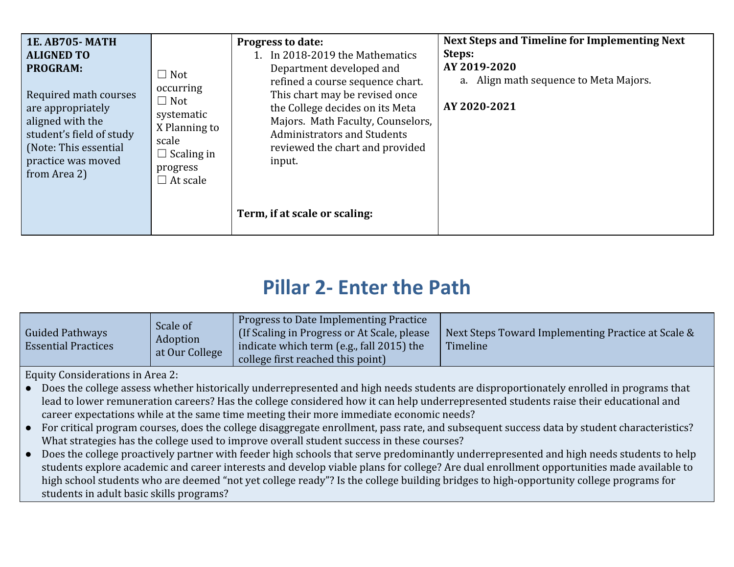| <b>1E. AB705-MATH</b><br><b>ALIGNED TO</b><br><b>PROGRAM:</b><br>Required math courses<br>are appropriately<br>aligned with the<br>student's field of study<br>(Note: This essential<br>practice was moved<br>from Area 2) | $\Box$ Not<br>occurring<br>$\Box$ Not<br>systematic<br>X Planning to<br>scale<br>$\Box$ Scaling in<br>progress<br>$\Box$ At scale | <b>Progress to date:</b><br>1. In 2018-2019 the Mathematics<br>Department developed and<br>refined a course sequence chart.<br>This chart may be revised once<br>the College decides on its Meta<br>Majors. Math Faculty, Counselors,<br><b>Administrators and Students</b><br>reviewed the chart and provided<br>input. | <b>Next Steps and Timeline for Implementing Next</b><br>Steps:<br>AY 2019-2020<br>a. Align math sequence to Meta Majors.<br>AY 2020-2021 |
|----------------------------------------------------------------------------------------------------------------------------------------------------------------------------------------------------------------------------|-----------------------------------------------------------------------------------------------------------------------------------|--------------------------------------------------------------------------------------------------------------------------------------------------------------------------------------------------------------------------------------------------------------------------------------------------------------------------|------------------------------------------------------------------------------------------------------------------------------------------|
|                                                                                                                                                                                                                            |                                                                                                                                   | Term, if at scale or scaling:                                                                                                                                                                                                                                                                                            |                                                                                                                                          |

### **Pillar 2- Enter the Path**

| Guided Pathways<br><b>Essential Practices</b> | Scale of<br>Adoption<br>at Our College | Progress to Date Implementing Practice<br>(If Scaling in Progress or At Scale, please)<br>indicate which term (e.g., fall 2015) the<br>college first reached this point) | Next Steps Toward Implementing Practice at Scale &<br>Timeline |
|-----------------------------------------------|----------------------------------------|--------------------------------------------------------------------------------------------------------------------------------------------------------------------------|----------------------------------------------------------------|
|-----------------------------------------------|----------------------------------------|--------------------------------------------------------------------------------------------------------------------------------------------------------------------------|----------------------------------------------------------------|

Equity Considerations in Area 2:

- Does the college assess whether historically underrepresented and high needs students are disproportionately enrolled in programs that lead to lower remuneration careers? Has the college considered how it can help underrepresented students raise their educational and career expectations while at the same time meeting their more immediate economic needs?
- For critical program courses, does the college disaggregate enrollment, pass rate, and subsequent success data by student characteristics? What strategies has the college used to improve overall student success in these courses?
- Does the college proactively partner with feeder high schools that serve predominantly underrepresented and high needs students to help students explore academic and career interests and develop viable plans for college? Are dual enrollment opportunities made available to high school students who are deemed "not yet college ready"? Is the college building bridges to high-opportunity college programs for students in adult basic skills programs?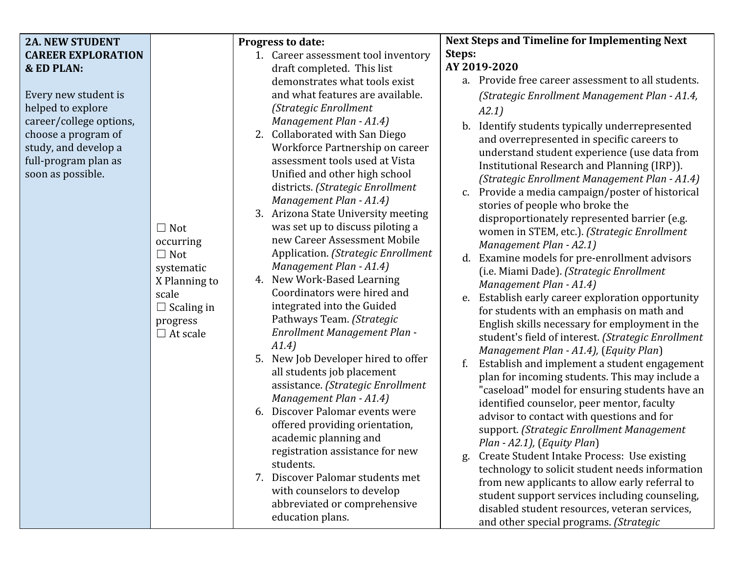|                                                                                                                                                                             |                                                                                                                                   |                                                                                                                                                                                                                                                                                                                                                                                                                                                                                                                                                                                                                                                                                                                                                                                                                                                                                                                            | <b>Next Steps and Timeline for Implementing Next</b>                                                                                                                                                                                                                                                                                                                                                                                                                                                                                                                                                                                                                                                                                                                                                                                                                                                                                                                                                                                                                                                                                                                                                                                                                                                                                                                                                                               |
|-----------------------------------------------------------------------------------------------------------------------------------------------------------------------------|-----------------------------------------------------------------------------------------------------------------------------------|----------------------------------------------------------------------------------------------------------------------------------------------------------------------------------------------------------------------------------------------------------------------------------------------------------------------------------------------------------------------------------------------------------------------------------------------------------------------------------------------------------------------------------------------------------------------------------------------------------------------------------------------------------------------------------------------------------------------------------------------------------------------------------------------------------------------------------------------------------------------------------------------------------------------------|------------------------------------------------------------------------------------------------------------------------------------------------------------------------------------------------------------------------------------------------------------------------------------------------------------------------------------------------------------------------------------------------------------------------------------------------------------------------------------------------------------------------------------------------------------------------------------------------------------------------------------------------------------------------------------------------------------------------------------------------------------------------------------------------------------------------------------------------------------------------------------------------------------------------------------------------------------------------------------------------------------------------------------------------------------------------------------------------------------------------------------------------------------------------------------------------------------------------------------------------------------------------------------------------------------------------------------------------------------------------------------------------------------------------------------|
| <b>2A. NEW STUDENT</b><br><b>CAREER EXPLORATION</b><br><b>&amp; ED PLAN:</b><br>Every new student is<br>helped to explore<br>career/college options,<br>choose a program of |                                                                                                                                   | <b>Progress to date:</b><br>1. Career assessment tool inventory<br>draft completed. This list<br>demonstrates what tools exist<br>and what features are available.<br>(Strategic Enrollment<br>Management Plan - A1.4)<br>2. Collaborated with San Diego                                                                                                                                                                                                                                                                                                                                                                                                                                                                                                                                                                                                                                                                   | Steps:<br>AY 2019-2020<br>a. Provide free career assessment to all students.<br>(Strategic Enrollment Management Plan - A1.4,<br>A2.1)<br>Identify students typically underrepresented<br>b.                                                                                                                                                                                                                                                                                                                                                                                                                                                                                                                                                                                                                                                                                                                                                                                                                                                                                                                                                                                                                                                                                                                                                                                                                                       |
| study, and develop a<br>full-program plan as<br>soon as possible.                                                                                                           | $\Box$ Not<br>occurring<br>$\Box$ Not<br>systematic<br>X Planning to<br>scale<br>$\Box$ Scaling in<br>progress<br>$\Box$ At scale | Workforce Partnership on career<br>assessment tools used at Vista<br>Unified and other high school<br>districts. (Strategic Enrollment<br>Management Plan - A1.4)<br>3. Arizona State University meeting<br>was set up to discuss piloting a<br>new Career Assessment Mobile<br>Application. (Strategic Enrollment<br>Management Plan - A1.4)<br>New Work-Based Learning<br>4.<br>Coordinators were hired and<br>integrated into the Guided<br>Pathways Team. (Strategic<br>Enrollment Management Plan -<br>A1.4)<br>5. New Job Developer hired to offer<br>all students job placement<br>assistance. (Strategic Enrollment<br>Management Plan - A1.4)<br>6. Discover Palomar events were<br>offered providing orientation,<br>academic planning and<br>registration assistance for new<br>students.<br>7. Discover Palomar students met<br>with counselors to develop<br>abbreviated or comprehensive<br>education plans. | and overrepresented in specific careers to<br>understand student experience (use data from<br>Institutional Research and Planning (IRP)).<br>(Strategic Enrollment Management Plan - A1.4)<br>Provide a media campaign/poster of historical<br>c.<br>stories of people who broke the<br>disproportionately represented barrier (e.g.<br>women in STEM, etc.). (Strategic Enrollment<br>Management Plan - A2.1)<br>Examine models for pre-enrollment advisors<br>d.<br>(i.e. Miami Dade). (Strategic Enrollment<br>Management Plan - A1.4)<br>Establish early career exploration opportunity<br>e.<br>for students with an emphasis on math and<br>English skills necessary for employment in the<br>student's field of interest. (Strategic Enrollment<br>Management Plan - A1.4), (Equity Plan)<br>Establish and implement a student engagement<br>plan for incoming students. This may include a<br>"caseload" model for ensuring students have an<br>identified counselor, peer mentor, faculty<br>advisor to contact with questions and for<br>support. (Strategic Enrollment Management<br>Plan - A2.1), (Equity Plan)<br>Create Student Intake Process: Use existing<br>g.<br>technology to solicit student needs information<br>from new applicants to allow early referral to<br>student support services including counseling,<br>disabled student resources, veteran services,<br>and other special programs. (Strategic |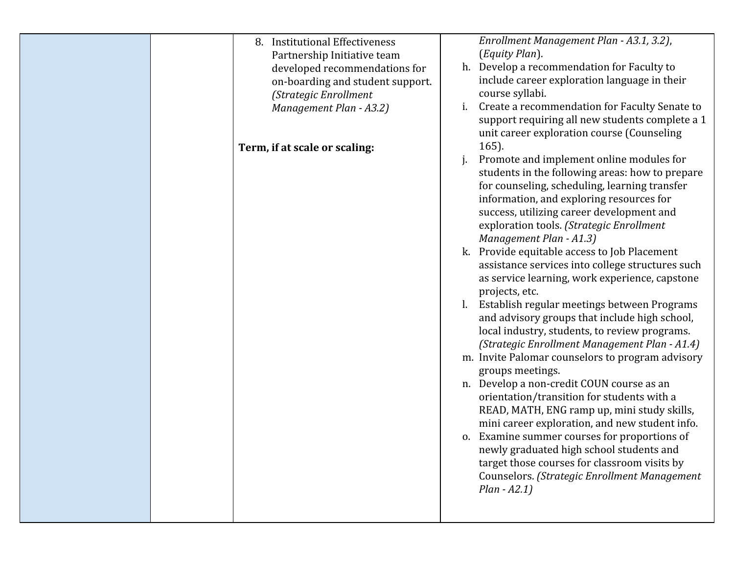| 8. Institutional Effectiveness<br>Partnership Initiative team<br>developed recommendations for<br>on-boarding and student support.<br>(Strategic Enrollment<br>Management Plan - A3.2)<br>Term, if at scale or scaling: | Enrollment Management Plan - A3.1, 3.2),<br>(Equity Plan).<br>h. Develop a recommendation for Faculty to<br>include career exploration language in their<br>course syllabi.<br>Create a recommendation for Faculty Senate to<br>i.<br>support requiring all new students complete a 1<br>unit career exploration course (Counseling<br>165).<br>Promote and implement online modules for<br>students in the following areas: how to prepare<br>for counseling, scheduling, learning transfer<br>information, and exploring resources for<br>success, utilizing career development and<br>exploration tools. (Strategic Enrollment<br>Management Plan - A1.3)<br>k. Provide equitable access to Job Placement<br>assistance services into college structures such<br>as service learning, work experience, capstone<br>projects, etc.<br>Establish regular meetings between Programs<br>and advisory groups that include high school,<br>local industry, students, to review programs.<br>(Strategic Enrollment Management Plan - A1.4)<br>m. Invite Palomar counselors to program advisory<br>groups meetings.<br>n. Develop a non-credit COUN course as an<br>orientation/transition for students with a<br>READ, MATH, ENG ramp up, mini study skills,<br>mini career exploration, and new student info.<br>o. Examine summer courses for proportions of<br>newly graduated high school students and<br>target those courses for classroom visits by<br>Counselors. (Strategic Enrollment Management |
|-------------------------------------------------------------------------------------------------------------------------------------------------------------------------------------------------------------------------|--------------------------------------------------------------------------------------------------------------------------------------------------------------------------------------------------------------------------------------------------------------------------------------------------------------------------------------------------------------------------------------------------------------------------------------------------------------------------------------------------------------------------------------------------------------------------------------------------------------------------------------------------------------------------------------------------------------------------------------------------------------------------------------------------------------------------------------------------------------------------------------------------------------------------------------------------------------------------------------------------------------------------------------------------------------------------------------------------------------------------------------------------------------------------------------------------------------------------------------------------------------------------------------------------------------------------------------------------------------------------------------------------------------------------------------------------------------------------------------------------------|
|                                                                                                                                                                                                                         | $Plan - A2.1)$                                                                                                                                                                                                                                                                                                                                                                                                                                                                                                                                                                                                                                                                                                                                                                                                                                                                                                                                                                                                                                                                                                                                                                                                                                                                                                                                                                                                                                                                                         |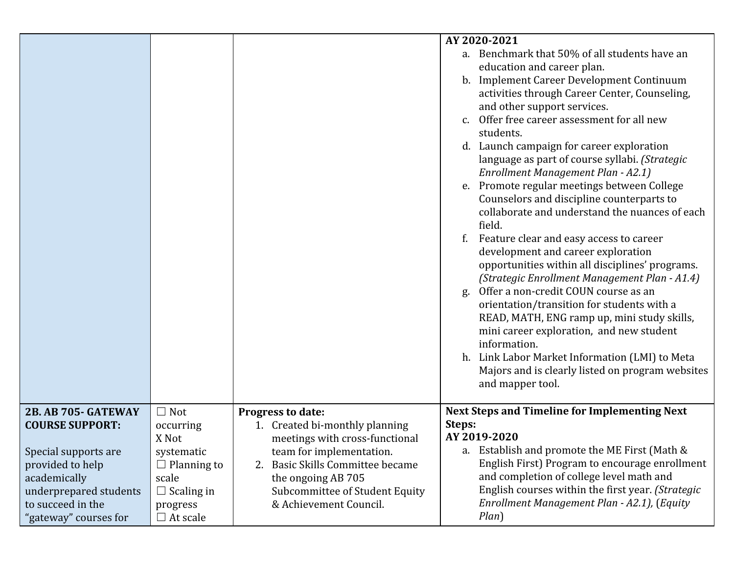|                        |                    |                                     | AY 2020-2021                                         |
|------------------------|--------------------|-------------------------------------|------------------------------------------------------|
|                        |                    |                                     | a. Benchmark that 50% of all students have an        |
|                        |                    |                                     | education and career plan.                           |
|                        |                    |                                     | b. Implement Career Development Continuum            |
|                        |                    |                                     | activities through Career Center, Counseling,        |
|                        |                    |                                     | and other support services.                          |
|                        |                    |                                     | Offer free career assessment for all new             |
|                        |                    |                                     | students.                                            |
|                        |                    |                                     | d. Launch campaign for career exploration            |
|                        |                    |                                     | language as part of course syllabi. (Strategic       |
|                        |                    |                                     | Enrollment Management Plan - A2.1)                   |
|                        |                    |                                     | e. Promote regular meetings between College          |
|                        |                    |                                     | Counselors and discipline counterparts to            |
|                        |                    |                                     | collaborate and understand the nuances of each       |
|                        |                    |                                     | field.                                               |
|                        |                    |                                     | Feature clear and easy access to career              |
|                        |                    |                                     | development and career exploration                   |
|                        |                    |                                     | opportunities within all disciplines' programs.      |
|                        |                    |                                     | (Strategic Enrollment Management Plan - A1.4)        |
|                        |                    |                                     | Offer a non-credit COUN course as an<br>g.           |
|                        |                    |                                     | orientation/transition for students with a           |
|                        |                    |                                     | READ, MATH, ENG ramp up, mini study skills,          |
|                        |                    |                                     | mini career exploration, and new student             |
|                        |                    |                                     | information.                                         |
|                        |                    |                                     | h. Link Labor Market Information (LMI) to Meta       |
|                        |                    |                                     | Majors and is clearly listed on program websites     |
|                        |                    |                                     | and mapper tool.                                     |
|                        |                    |                                     |                                                      |
| 2B. AB 705- GATEWAY    | $\Box$ Not         | <b>Progress to date:</b>            | <b>Next Steps and Timeline for Implementing Next</b> |
| <b>COURSE SUPPORT:</b> | occurring          | 1. Created bi-monthly planning      | Steps:                                               |
|                        | X Not              | meetings with cross-functional      | AY 2019-2020                                         |
| Special supports are   | systematic         | team for implementation.            | a. Establish and promote the ME First (Math &        |
| provided to help       | $\Box$ Planning to | Basic Skills Committee became<br>2. | English First) Program to encourage enrollment       |
| academically           | scale              | the ongoing AB 705                  | and completion of college level math and             |
| underprepared students | $\Box$ Scaling in  | Subcommittee of Student Equity      | English courses within the first year. (Strategic    |
| to succeed in the      | progress           | & Achievement Council.              | Enrollment Management Plan - A2.1), (Equity          |
| "gateway" courses for  | $\Box$ At scale    |                                     | $Plan$ )                                             |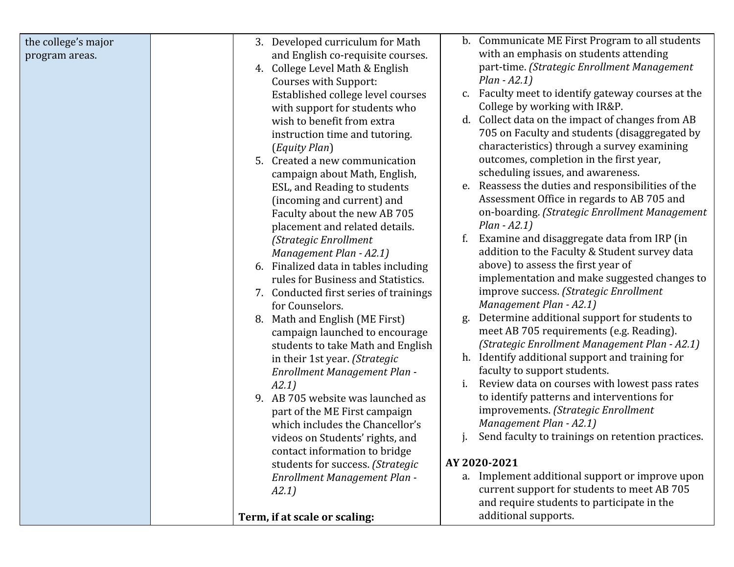| the college's major<br>program areas. | 3. Developed curriculum for Math<br>and English co-requisite courses. | b. Communicate ME First Program to all students<br>with an emphasis on students attending |  |
|---------------------------------------|-----------------------------------------------------------------------|-------------------------------------------------------------------------------------------|--|
|                                       | 4. College Level Math & English                                       | part-time. (Strategic Enrollment Management                                               |  |
|                                       | Courses with Support:                                                 | $Plan - A2.1)$                                                                            |  |
|                                       | Established college level courses                                     | Faculty meet to identify gateway courses at the<br>$C_{\bullet}$                          |  |
|                                       | with support for students who                                         | College by working with IR&P.                                                             |  |
|                                       | wish to benefit from extra                                            | d. Collect data on the impact of changes from AB                                          |  |
|                                       | instruction time and tutoring.                                        | 705 on Faculty and students (disaggregated by                                             |  |
|                                       | (Equity Plan)                                                         | characteristics) through a survey examining<br>outcomes, completion in the first year,    |  |
|                                       | 5. Created a new communication<br>campaign about Math, English,       | scheduling issues, and awareness.                                                         |  |
|                                       | ESL, and Reading to students                                          | e. Reassess the duties and responsibilities of the                                        |  |
|                                       | (incoming and current) and                                            | Assessment Office in regards to AB 705 and                                                |  |
|                                       | Faculty about the new AB 705                                          | on-boarding. (Strategic Enrollment Management                                             |  |
|                                       | placement and related details.                                        | $Plan - A2.1$ )                                                                           |  |
|                                       | (Strategic Enrollment                                                 | Examine and disaggregate data from IRP (in<br>f.                                          |  |
|                                       | Management Plan - A2.1)                                               | addition to the Faculty & Student survey data                                             |  |
|                                       | 6. Finalized data in tables including                                 | above) to assess the first year of                                                        |  |
|                                       | rules for Business and Statistics.                                    | implementation and make suggested changes to<br>improve success. (Strategic Enrollment    |  |
|                                       | 7. Conducted first series of trainings<br>for Counselors.             | Management Plan - A2.1)                                                                   |  |
|                                       | 8. Math and English (ME First)                                        | Determine additional support for students to<br>g.                                        |  |
|                                       | campaign launched to encourage                                        | meet AB 705 requirements (e.g. Reading).                                                  |  |
|                                       | students to take Math and English                                     | (Strategic Enrollment Management Plan - A2.1)                                             |  |
|                                       | in their 1st year. (Strategic                                         | h. Identify additional support and training for                                           |  |
|                                       | Enrollment Management Plan -                                          | faculty to support students.                                                              |  |
|                                       | A2.1)                                                                 | Review data on courses with lowest pass rates<br>i.                                       |  |
|                                       | 9. AB 705 website was launched as                                     | to identify patterns and interventions for                                                |  |
|                                       | part of the ME First campaign<br>which includes the Chancellor's      | improvements. (Strategic Enrollment<br>Management Plan - A2.1)                            |  |
|                                       | videos on Students' rights, and                                       | Send faculty to trainings on retention practices.                                         |  |
|                                       | contact information to bridge                                         |                                                                                           |  |
|                                       | students for success. (Strategic                                      | AY 2020-2021                                                                              |  |
|                                       | Enrollment Management Plan -                                          | a. Implement additional support or improve upon                                           |  |
|                                       | A2.1)                                                                 | current support for students to meet AB 705                                               |  |
|                                       |                                                                       | and require students to participate in the                                                |  |
|                                       | Term, if at scale or scaling:                                         | additional supports.                                                                      |  |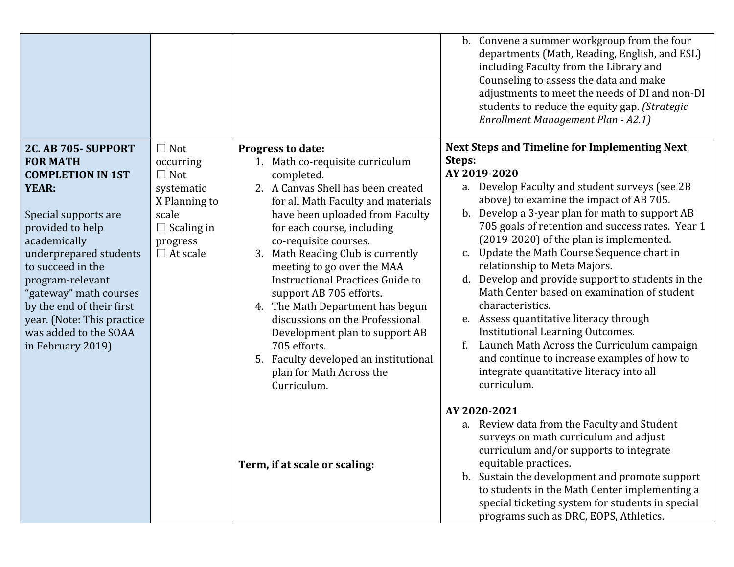|                                                                                                                                                                                                                                                                                                                                                      |                                                                                                                                   |                                                                                                                                                                                                                                                                                                                                                                                                                                                                                                                                                                                                   | b. Convene a summer workgroup from the four<br>departments (Math, Reading, English, and ESL)<br>including Faculty from the Library and<br>Counseling to assess the data and make<br>adjustments to meet the needs of DI and non-DI<br>students to reduce the equity gap. (Strategic<br>Enrollment Management Plan - A2.1)                                                                                                                                                                                                                                                                                                                                                                                                                                                       |
|------------------------------------------------------------------------------------------------------------------------------------------------------------------------------------------------------------------------------------------------------------------------------------------------------------------------------------------------------|-----------------------------------------------------------------------------------------------------------------------------------|---------------------------------------------------------------------------------------------------------------------------------------------------------------------------------------------------------------------------------------------------------------------------------------------------------------------------------------------------------------------------------------------------------------------------------------------------------------------------------------------------------------------------------------------------------------------------------------------------|---------------------------------------------------------------------------------------------------------------------------------------------------------------------------------------------------------------------------------------------------------------------------------------------------------------------------------------------------------------------------------------------------------------------------------------------------------------------------------------------------------------------------------------------------------------------------------------------------------------------------------------------------------------------------------------------------------------------------------------------------------------------------------|
| 2C. AB 705- SUPPORT<br><b>FOR MATH</b><br><b>COMPLETION IN 1ST</b><br><b>YEAR:</b><br>Special supports are<br>provided to help<br>academically<br>underprepared students<br>to succeed in the<br>program-relevant<br>'gateway" math courses<br>by the end of their first<br>year. (Note: This practice<br>was added to the SOAA<br>in February 2019) | $\Box$ Not<br>occurring<br>$\Box$ Not<br>systematic<br>X Planning to<br>scale<br>$\Box$ Scaling in<br>progress<br>$\Box$ At scale | Progress to date:<br>1. Math co-requisite curriculum<br>completed.<br>2. A Canvas Shell has been created<br>for all Math Faculty and materials<br>have been uploaded from Faculty<br>for each course, including<br>co-requisite courses.<br>3. Math Reading Club is currently<br>meeting to go over the MAA<br><b>Instructional Practices Guide to</b><br>support AB 705 efforts.<br>4. The Math Department has begun<br>discussions on the Professional<br>Development plan to support AB<br>705 efforts.<br>Faculty developed an institutional<br>5.<br>plan for Math Across the<br>Curriculum. | <b>Next Steps and Timeline for Implementing Next</b><br>Steps:<br>AY 2019-2020<br>a. Develop Faculty and student surveys (see 2B)<br>above) to examine the impact of AB 705.<br>b. Develop a 3-year plan for math to support AB<br>705 goals of retention and success rates. Year 1<br>(2019-2020) of the plan is implemented.<br>c. Update the Math Course Sequence chart in<br>relationship to Meta Majors.<br>Develop and provide support to students in the<br>d.<br>Math Center based on examination of student<br>characteristics.<br>e. Assess quantitative literacy through<br>Institutional Learning Outcomes.<br>Launch Math Across the Curriculum campaign<br>and continue to increase examples of how to<br>integrate quantitative literacy into all<br>curriculum. |
|                                                                                                                                                                                                                                                                                                                                                      |                                                                                                                                   | Term, if at scale or scaling:                                                                                                                                                                                                                                                                                                                                                                                                                                                                                                                                                                     | AY 2020-2021<br>a. Review data from the Faculty and Student<br>surveys on math curriculum and adjust<br>curriculum and/or supports to integrate<br>equitable practices.<br>b. Sustain the development and promote support<br>to students in the Math Center implementing a<br>special ticketing system for students in special<br>programs such as DRC, EOPS, Athletics.                                                                                                                                                                                                                                                                                                                                                                                                        |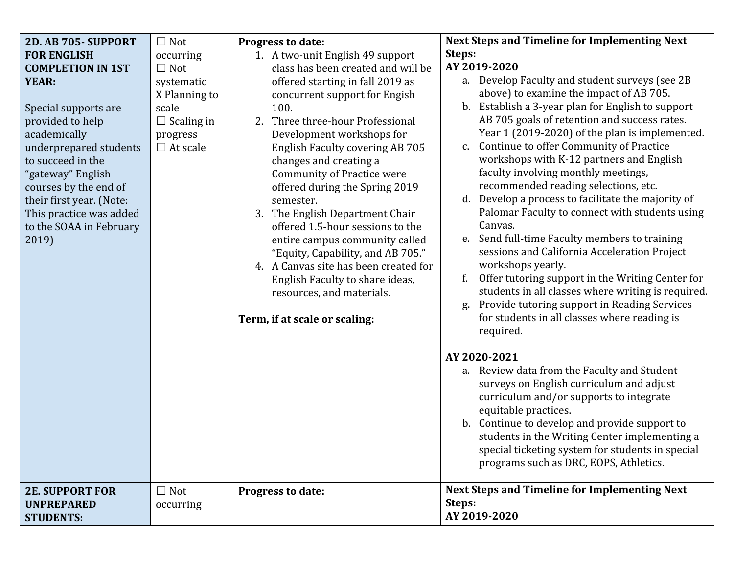| 2D. AB 705- SUPPORT                                                                                                                                                                                                     | $\Box$ Not                                                                                                          | Progress to date:                                                                                                                                                                                                                                                                                                                                        | <b>Next Steps and Timeline for Implementing Next</b>                                                                                                                                                                                                                                                                                                                                                                                                                           |
|-------------------------------------------------------------------------------------------------------------------------------------------------------------------------------------------------------------------------|---------------------------------------------------------------------------------------------------------------------|----------------------------------------------------------------------------------------------------------------------------------------------------------------------------------------------------------------------------------------------------------------------------------------------------------------------------------------------------------|--------------------------------------------------------------------------------------------------------------------------------------------------------------------------------------------------------------------------------------------------------------------------------------------------------------------------------------------------------------------------------------------------------------------------------------------------------------------------------|
| <b>FOR ENGLISH</b><br><b>COMPLETION IN 1ST</b><br><b>YEAR:</b><br>Special supports are<br>provided to help<br>academically<br>underprepared students<br>to succeed in the<br>"gateway" English<br>courses by the end of | occurring<br>$\Box$ Not<br>systematic<br>X Planning to<br>scale<br>$\Box$ Scaling in<br>progress<br>$\Box$ At scale | 1. A two-unit English 49 support<br>class has been created and will be<br>offered starting in fall 2019 as<br>concurrent support for Engish<br>100.<br>2. Three three-hour Professional<br>Development workshops for<br>English Faculty covering AB 705<br>changes and creating a<br><b>Community of Practice were</b><br>offered during the Spring 2019 | Steps:<br>AY 2019-2020<br>a. Develop Faculty and student surveys (see 2B)<br>above) to examine the impact of AB 705.<br>Establish a 3-year plan for English to support<br>b.<br>AB 705 goals of retention and success rates.<br>Year 1 (2019-2020) of the plan is implemented.<br>Continue to offer Community of Practice<br>C.<br>workshops with K-12 partners and English<br>faculty involving monthly meetings,<br>recommended reading selections, etc.                     |
| their first year. (Note:<br>This practice was added<br>to the SOAA in February<br>2019)                                                                                                                                 |                                                                                                                     | semester.<br>3. The English Department Chair<br>offered 1.5-hour sessions to the<br>entire campus community called<br>"Equity, Capability, and AB 705."<br>4. A Canvas site has been created for<br>English Faculty to share ideas,<br>resources, and materials.<br>Term, if at scale or scaling:                                                        | Develop a process to facilitate the majority of<br>d.<br>Palomar Faculty to connect with students using<br>Canvas.<br>Send full-time Faculty members to training<br>e.<br>sessions and California Acceleration Project<br>workshops yearly.<br>Offer tutoring support in the Writing Center for<br>f.<br>students in all classes where writing is required.<br>Provide tutoring support in Reading Services<br>g.<br>for students in all classes where reading is<br>required. |
|                                                                                                                                                                                                                         |                                                                                                                     |                                                                                                                                                                                                                                                                                                                                                          | AY 2020-2021<br>a. Review data from the Faculty and Student<br>surveys on English curriculum and adjust<br>curriculum and/or supports to integrate<br>equitable practices.<br>b. Continue to develop and provide support to<br>students in the Writing Center implementing a<br>special ticketing system for students in special<br>programs such as DRC, EOPS, Athletics.                                                                                                     |
| <b>2E. SUPPORT FOR</b><br><b>UNPREPARED</b><br><b>STUDENTS:</b>                                                                                                                                                         | $\Box$ Not<br>occurring                                                                                             | Progress to date:                                                                                                                                                                                                                                                                                                                                        | <b>Next Steps and Timeline for Implementing Next</b><br>Steps:<br>AY 2019-2020                                                                                                                                                                                                                                                                                                                                                                                                 |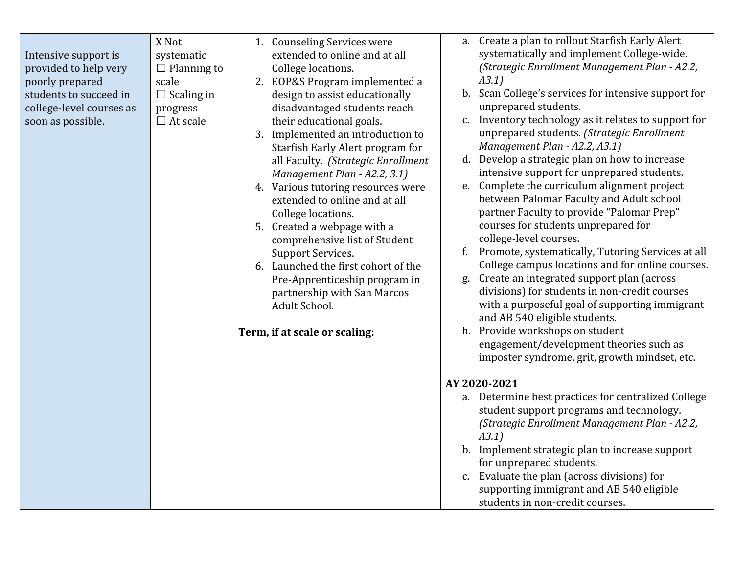| Intensive support is<br>provided to help very<br>poorly prepared<br>students to succeed in<br>college-level courses as<br>soon as possible. | X Not<br>systematic<br>$\Box$ Planning to<br>scale<br>$\Box$ Scaling in<br>progress<br>$\Box$ At scale | 1. Counseling Services were<br>extended to online and at all<br>College locations.<br>2. EOP&S Program implemented a<br>design to assist educationally<br>disadvantaged students reach<br>their educational goals.<br>3. Implemented an introduction to<br>Starfish Early Alert program for<br>all Faculty. (Strategic Enrollment<br>Management Plan - A2.2, 3.1)<br>4. Various tutoring resources were<br>extended to online and at all<br>College locations.<br>5. Created a webpage with a<br>comprehensive list of Student<br><b>Support Services.</b><br>6. Launched the first cohort of the<br>Pre-Apprenticeship program in<br>partnership with San Marcos<br>Adult School.<br>Term, if at scale or scaling: | a. Create a plan to rollout Starfish Early Alert<br>systematically and implement College-wide.<br>(Strategic Enrollment Management Plan - A2.2,<br>A3.1)<br>b. Scan College's services for intensive support for<br>unprepared students.<br>c. Inventory technology as it relates to support for<br>unprepared students. (Strategic Enrollment<br>Management Plan - A2.2, A3.1)<br>d. Develop a strategic plan on how to increase<br>intensive support for unprepared students.<br>e. Complete the curriculum alignment project<br>between Palomar Faculty and Adult school<br>partner Faculty to provide "Palomar Prep"<br>courses for students unprepared for<br>college-level courses.<br>Promote, systematically, Tutoring Services at all<br>f.<br>College campus locations and for online courses.<br>Create an integrated support plan (across<br>g.<br>divisions) for students in non-credit courses<br>with a purposeful goal of supporting immigrant<br>and AB 540 eligible students.<br>h. Provide workshops on student<br>engagement/development theories such as<br>imposter syndrome, grit, growth mindset, etc.<br>AY 2020-2021<br>a. Determine best practices for centralized College<br>student support programs and technology.<br>(Strategic Enrollment Management Plan - A2.2,<br>A3.1)<br>b. Implement strategic plan to increase support<br>for unprepared students.<br>c. Evaluate the plan (across divisions) for<br>supporting immigrant and AB 540 eligible<br>students in non-credit courses. |
|---------------------------------------------------------------------------------------------------------------------------------------------|--------------------------------------------------------------------------------------------------------|---------------------------------------------------------------------------------------------------------------------------------------------------------------------------------------------------------------------------------------------------------------------------------------------------------------------------------------------------------------------------------------------------------------------------------------------------------------------------------------------------------------------------------------------------------------------------------------------------------------------------------------------------------------------------------------------------------------------|--------------------------------------------------------------------------------------------------------------------------------------------------------------------------------------------------------------------------------------------------------------------------------------------------------------------------------------------------------------------------------------------------------------------------------------------------------------------------------------------------------------------------------------------------------------------------------------------------------------------------------------------------------------------------------------------------------------------------------------------------------------------------------------------------------------------------------------------------------------------------------------------------------------------------------------------------------------------------------------------------------------------------------------------------------------------------------------------------------------------------------------------------------------------------------------------------------------------------------------------------------------------------------------------------------------------------------------------------------------------------------------------------------------------------------------------------------------------------------------------------------------------------|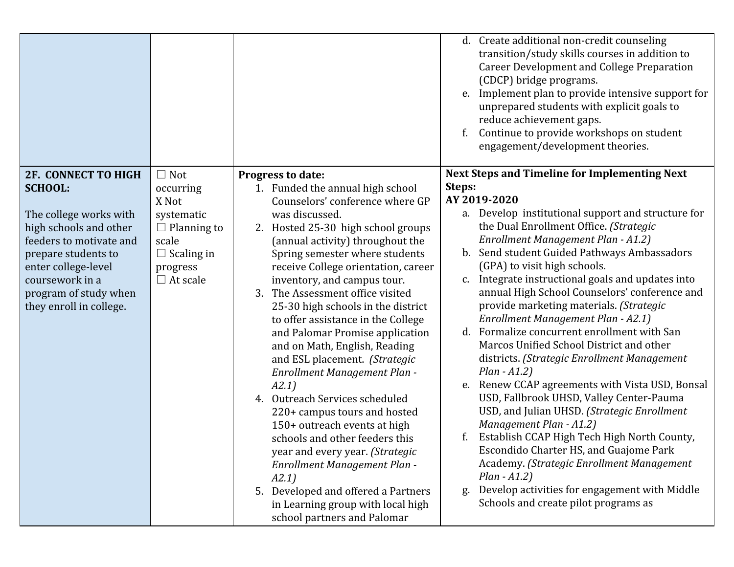|                                                                                                                                                                                                                                                  |                                                                                                                                   |                                                                                                                                                                                                                                                                                                                                                                                                                                                                                                                                                                                                                                                                                                                                                                                                                                                                                          | d. Create additional non-credit counseling<br>transition/study skills courses in addition to<br><b>Career Development and College Preparation</b><br>(CDCP) bridge programs.<br>Implement plan to provide intensive support for<br>e.<br>unprepared students with explicit goals to<br>reduce achievement gaps.<br>Continue to provide workshops on student<br>engagement/development theories.                                                                                                                                                                                                                                                                                                                                                                                                                                                                                                                                                                                                                                                                                             |
|--------------------------------------------------------------------------------------------------------------------------------------------------------------------------------------------------------------------------------------------------|-----------------------------------------------------------------------------------------------------------------------------------|------------------------------------------------------------------------------------------------------------------------------------------------------------------------------------------------------------------------------------------------------------------------------------------------------------------------------------------------------------------------------------------------------------------------------------------------------------------------------------------------------------------------------------------------------------------------------------------------------------------------------------------------------------------------------------------------------------------------------------------------------------------------------------------------------------------------------------------------------------------------------------------|---------------------------------------------------------------------------------------------------------------------------------------------------------------------------------------------------------------------------------------------------------------------------------------------------------------------------------------------------------------------------------------------------------------------------------------------------------------------------------------------------------------------------------------------------------------------------------------------------------------------------------------------------------------------------------------------------------------------------------------------------------------------------------------------------------------------------------------------------------------------------------------------------------------------------------------------------------------------------------------------------------------------------------------------------------------------------------------------|
| <b>2F. CONNECT TO HIGH</b><br><b>SCHOOL:</b><br>The college works with<br>high schools and other<br>feeders to motivate and<br>prepare students to<br>enter college-level<br>coursework in a<br>program of study when<br>they enroll in college. | $\Box$ Not<br>occurring<br>X Not<br>systematic<br>$\Box$ Planning to<br>scale<br>$\Box$ Scaling in<br>progress<br>$\Box$ At scale | Progress to date:<br>1. Funded the annual high school<br>Counselors' conference where GP<br>was discussed.<br>2. Hosted 25-30 high school groups<br>(annual activity) throughout the<br>Spring semester where students<br>receive College orientation, career<br>inventory, and campus tour.<br>The Assessment office visited<br>3.<br>25-30 high schools in the district<br>to offer assistance in the College<br>and Palomar Promise application<br>and on Math, English, Reading<br>and ESL placement. (Strategic<br>Enrollment Management Plan -<br>A2.1)<br>4. Outreach Services scheduled<br>220+ campus tours and hosted<br>150+ outreach events at high<br>schools and other feeders this<br>year and every year. (Strategic<br>Enrollment Management Plan -<br>A2.1)<br>5. Developed and offered a Partners<br>in Learning group with local high<br>school partners and Palomar | Next Steps and Timeline for Implementing Next<br>Steps:<br>AY 2019-2020<br>a. Develop institutional support and structure for<br>the Dual Enrollment Office. (Strategic<br>Enrollment Management Plan - A1.2)<br>Send student Guided Pathways Ambassadors<br>b.<br>(GPA) to visit high schools.<br>Integrate instructional goals and updates into<br>C.<br>annual High School Counselors' conference and<br>provide marketing materials. (Strategic<br>Enrollment Management Plan - A2.1)<br>Formalize concurrent enrollment with San<br>d.<br>Marcos Unified School District and other<br>districts. (Strategic Enrollment Management<br>$Plan - A1.2)$<br>Renew CCAP agreements with Vista USD, Bonsal<br>e.<br>USD, Fallbrook UHSD, Valley Center-Pauma<br>USD, and Julian UHSD. (Strategic Enrollment<br>Management Plan - A1.2)<br>Establish CCAP High Tech High North County,<br>Escondido Charter HS, and Guajome Park<br>Academy. (Strategic Enrollment Management<br>$Plan - A1.2)$<br>Develop activities for engagement with Middle<br>g.<br>Schools and create pilot programs as |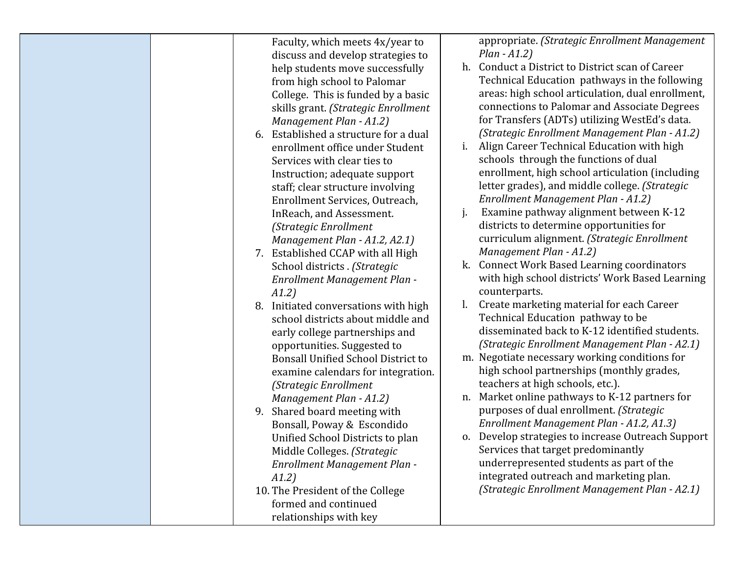| Faculty, which meets 4x/year to           | appropriate. (Strategic Enrollment Management         |
|-------------------------------------------|-------------------------------------------------------|
| discuss and develop strategies to         | $Plan - A1.2)$                                        |
| help students move successfully           | Conduct a District to District scan of Career<br>h.   |
| from high school to Palomar               | Technical Education pathways in the following         |
| College. This is funded by a basic        | areas: high school articulation, dual enrollment,     |
| skills grant. (Strategic Enrollment       | connections to Palomar and Associate Degrees          |
| Management Plan - A1.2)                   | for Transfers (ADTs) utilizing WestEd's data.         |
| Established a structure for a dual<br>6.  | (Strategic Enrollment Management Plan - A1.2)         |
| enrollment office under Student           | Align Career Technical Education with high<br>i.      |
| Services with clear ties to               | schools through the functions of dual                 |
|                                           | enrollment, high school articulation (including       |
| Instruction; adequate support             | letter grades), and middle college. (Strategic        |
| staff; clear structure involving          |                                                       |
| Enrollment Services, Outreach,            | Enrollment Management Plan - A1.2)                    |
| InReach, and Assessment.                  | Examine pathway alignment between K-12<br>j.          |
| (Strategic Enrollment                     | districts to determine opportunities for              |
| Management Plan - A1.2, A2.1)             | curriculum alignment. (Strategic Enrollment           |
| 7. Established CCAP with all High         | Management Plan - A1.2)                               |
| School districts . (Strategic             | <b>Connect Work Based Learning coordinators</b><br>k. |
| Enrollment Management Plan -              | with high school districts' Work Based Learning       |
| A1.2)                                     | counterparts.                                         |
| Initiated conversations with high<br>8.   | Create marketing material for each Career             |
| school districts about middle and         | Technical Education pathway to be                     |
| early college partnerships and            | disseminated back to K-12 identified students.        |
| opportunities. Suggested to               | (Strategic Enrollment Management Plan - A2.1)         |
| <b>Bonsall Unified School District to</b> | m. Negotiate necessary working conditions for         |
| examine calendars for integration.        | high school partnerships (monthly grades,             |
| (Strategic Enrollment                     | teachers at high schools, etc.).                      |
| Management Plan - A1.2)                   | Market online pathways to K-12 partners for<br>n.     |
| Shared board meeting with<br>9.           | purposes of dual enrollment. (Strategic               |
| Bonsall, Poway & Escondido                | Enrollment Management Plan - A1.2, A1.3)              |
| Unified School Districts to plan          | o. Develop strategies to increase Outreach Support    |
| Middle Colleges. (Strategic               | Services that target predominantly                    |
| Enrollment Management Plan -              | underrepresented students as part of the              |
| A1.2)                                     | integrated outreach and marketing plan.               |
| 10. The President of the College          | (Strategic Enrollment Management Plan - A2.1)         |
| formed and continued                      |                                                       |
| relationships with key                    |                                                       |
|                                           |                                                       |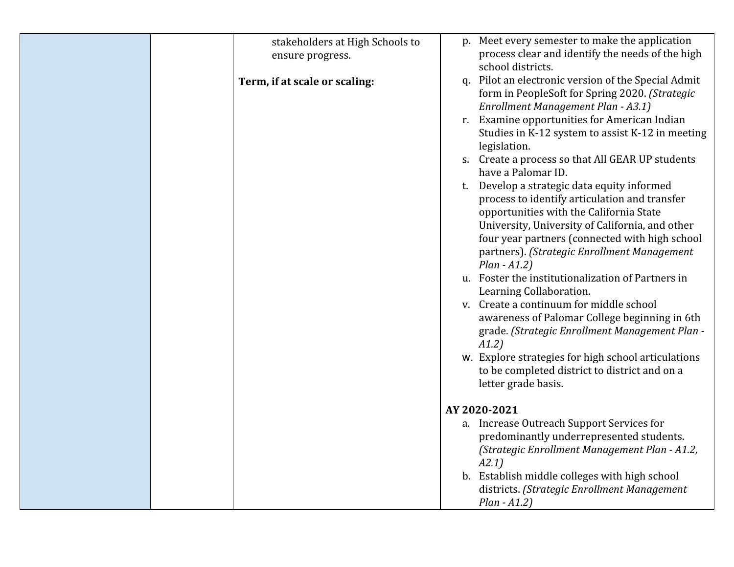| stakeholders at High Schools to<br>ensure progress. | p. Meet every semester to make the application<br>process clear and identify the needs of the high<br>school districts.                                                                                                                                                                                                                                                                                                                                                                                                                                                                                                                                                                |
|-----------------------------------------------------|----------------------------------------------------------------------------------------------------------------------------------------------------------------------------------------------------------------------------------------------------------------------------------------------------------------------------------------------------------------------------------------------------------------------------------------------------------------------------------------------------------------------------------------------------------------------------------------------------------------------------------------------------------------------------------------|
| Term, if at scale or scaling:                       | q. Pilot an electronic version of the Special Admit<br>form in PeopleSoft for Spring 2020. (Strategic<br>Enrollment Management Plan - A3.1)                                                                                                                                                                                                                                                                                                                                                                                                                                                                                                                                            |
|                                                     | r. Examine opportunities for American Indian<br>Studies in K-12 system to assist K-12 in meeting<br>legislation.                                                                                                                                                                                                                                                                                                                                                                                                                                                                                                                                                                       |
|                                                     | Create a process so that All GEAR UP students<br>S.<br>have a Palomar ID.                                                                                                                                                                                                                                                                                                                                                                                                                                                                                                                                                                                                              |
|                                                     | Develop a strategic data equity informed<br>t.<br>process to identify articulation and transfer<br>opportunities with the California State<br>University, University of California, and other<br>four year partners (connected with high school<br>partners). (Strategic Enrollment Management<br>$Plan - A1.2)$<br>u. Foster the institutionalization of Partners in<br>Learning Collaboration.<br>v. Create a continuum for middle school<br>awareness of Palomar College beginning in 6th<br>grade. (Strategic Enrollment Management Plan -<br>A1.2)<br>w. Explore strategies for high school articulations<br>to be completed district to district and on a<br>letter grade basis. |
|                                                     | AY 2020-2021                                                                                                                                                                                                                                                                                                                                                                                                                                                                                                                                                                                                                                                                           |
|                                                     | a. Increase Outreach Support Services for<br>predominantly underrepresented students.<br>(Strategic Enrollment Management Plan - A1.2,<br>A2.1)                                                                                                                                                                                                                                                                                                                                                                                                                                                                                                                                        |
|                                                     | b. Establish middle colleges with high school<br>districts. (Strategic Enrollment Management<br>$Plan - A1.2)$                                                                                                                                                                                                                                                                                                                                                                                                                                                                                                                                                                         |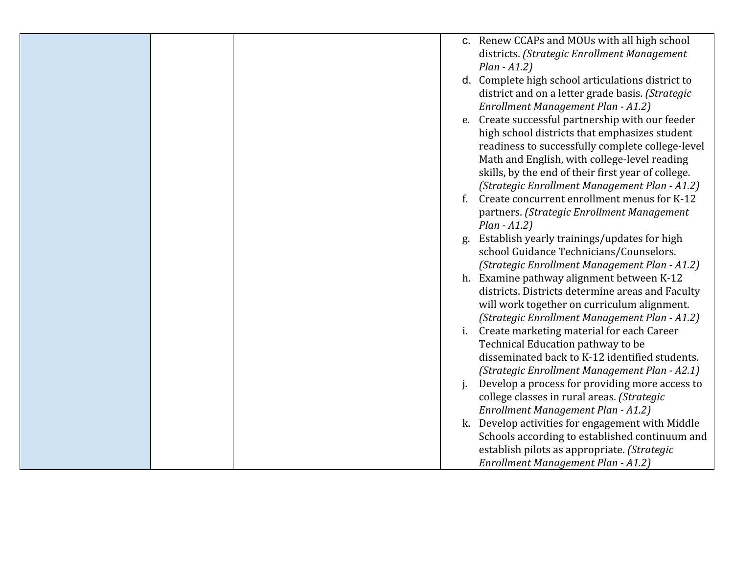|  |    | c. Renew CCAPs and MOUs with all high school       |
|--|----|----------------------------------------------------|
|  |    | districts. (Strategic Enrollment Management        |
|  |    | $Plan - A1.2)$                                     |
|  |    | d. Complete high school articulations district to  |
|  |    | district and on a letter grade basis. (Strategic   |
|  |    | Enrollment Management Plan - A1.2)                 |
|  | e. | Create successful partnership with our feeder      |
|  |    | high school districts that emphasizes student      |
|  |    | readiness to successfully complete college-level   |
|  |    | Math and English, with college-level reading       |
|  |    | skills, by the end of their first year of college. |
|  |    | (Strategic Enrollment Management Plan - A1.2)      |
|  | f. | Create concurrent enrollment menus for K-12        |
|  |    | partners. (Strategic Enrollment Management         |
|  |    | $Plan - A1.2)$                                     |
|  | g. | Establish yearly trainings/updates for high        |
|  |    | school Guidance Technicians/Counselors.            |
|  |    | (Strategic Enrollment Management Plan - A1.2)      |
|  |    | h. Examine pathway alignment between K-12          |
|  |    | districts. Districts determine areas and Faculty   |
|  |    | will work together on curriculum alignment.        |
|  |    | (Strategic Enrollment Management Plan - A1.2)      |
|  | i. | Create marketing material for each Career          |
|  |    | Technical Education pathway to be                  |
|  |    | disseminated back to K-12 identified students.     |
|  |    | (Strategic Enrollment Management Plan - A2.1)      |
|  |    | Develop a process for providing more access to     |
|  |    | college classes in rural areas. (Strategic         |
|  |    | Enrollment Management Plan - A1.2)                 |
|  | k. | Develop activities for engagement with Middle      |
|  |    | Schools according to established continuum and     |
|  |    | establish pilots as appropriate. (Strategic        |
|  |    | Enrollment Management Plan - A1.2)                 |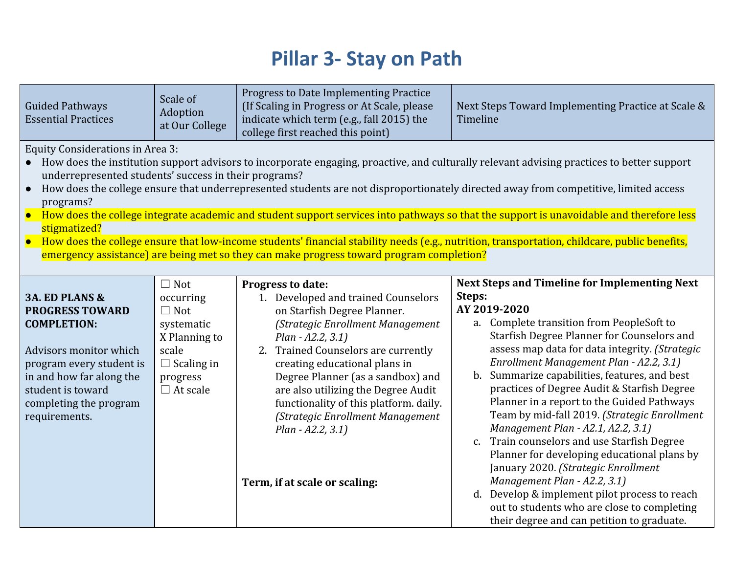## **Pillar 3- Stay on Path**

| <b>Guided Pathways</b><br><b>Essential Practices</b>                                                                                                                                                                                                                                                                                                                                                                                                                                                                                                                                                                                                                                                                                                                                                                            | Scale of<br>Adoption<br>at Our College                                                                                            | <b>Progress to Date Implementing Practice</b><br>(If Scaling in Progress or At Scale, please<br>indicate which term (e.g., fall 2015) the<br>college first reached this point)                                                                                                                                                                                                                                                           | Next Steps Toward Implementing Practice at Scale &<br>Timeline                                                                                                                                                                                                                                                                                                                                                                                                                                                                                                                                                                                                                                                                                                                                                                   |  |
|---------------------------------------------------------------------------------------------------------------------------------------------------------------------------------------------------------------------------------------------------------------------------------------------------------------------------------------------------------------------------------------------------------------------------------------------------------------------------------------------------------------------------------------------------------------------------------------------------------------------------------------------------------------------------------------------------------------------------------------------------------------------------------------------------------------------------------|-----------------------------------------------------------------------------------------------------------------------------------|------------------------------------------------------------------------------------------------------------------------------------------------------------------------------------------------------------------------------------------------------------------------------------------------------------------------------------------------------------------------------------------------------------------------------------------|----------------------------------------------------------------------------------------------------------------------------------------------------------------------------------------------------------------------------------------------------------------------------------------------------------------------------------------------------------------------------------------------------------------------------------------------------------------------------------------------------------------------------------------------------------------------------------------------------------------------------------------------------------------------------------------------------------------------------------------------------------------------------------------------------------------------------------|--|
| <b>Equity Considerations in Area 3:</b><br>• How does the institution support advisors to incorporate engaging, proactive, and culturally relevant advising practices to better support<br>underrepresented students' success in their programs?<br>How does the college ensure that underrepresented students are not disproportionately directed away from competitive, limited access<br>$\bullet$<br>programs?<br>• How does the college integrate academic and student support services into pathways so that the support is unavoidable and therefore less<br>stigmatized?<br>• How does the college ensure that low-income students' financial stability needs (e.g., nutrition, transportation, childcare, public benefits,<br>emergency assistance) are being met so they can make progress toward program completion? |                                                                                                                                   |                                                                                                                                                                                                                                                                                                                                                                                                                                          |                                                                                                                                                                                                                                                                                                                                                                                                                                                                                                                                                                                                                                                                                                                                                                                                                                  |  |
| <b>3A. ED PLANS &amp;</b><br><b>PROGRESS TOWARD</b><br><b>COMPLETION:</b><br>Advisors monitor which<br>program every student is<br>in and how far along the<br>student is toward<br>completing the program<br>requirements.                                                                                                                                                                                                                                                                                                                                                                                                                                                                                                                                                                                                     | $\Box$ Not<br>occurring<br>$\Box$ Not<br>systematic<br>X Planning to<br>scale<br>$\Box$ Scaling in<br>progress<br>$\Box$ At scale | Progress to date:<br>1. Developed and trained Counselors<br>on Starfish Degree Planner.<br>(Strategic Enrollment Management<br>Plan - A2.2, 3.1)<br>2. Trained Counselors are currently<br>creating educational plans in<br>Degree Planner (as a sandbox) and<br>are also utilizing the Degree Audit<br>functionality of this platform. daily.<br>(Strategic Enrollment Management<br>Plan - A2.2, 3.1)<br>Term, if at scale or scaling: | <b>Next Steps and Timeline for Implementing Next</b><br>Steps:<br>AY 2019-2020<br>a. Complete transition from PeopleSoft to<br>Starfish Degree Planner for Counselors and<br>assess map data for data integrity. (Strategic<br>Enrollment Management Plan - A2.2, 3.1)<br>b. Summarize capabilities, features, and best<br>practices of Degree Audit & Starfish Degree<br>Planner in a report to the Guided Pathways<br>Team by mid-fall 2019. (Strategic Enrollment<br>Management Plan - A2.1, A2.2, 3.1)<br>Train counselors and use Starfish Degree<br>c.<br>Planner for developing educational plans by<br>January 2020. (Strategic Enrollment<br>Management Plan - A2.2, 3.1)<br>d. Develop & implement pilot process to reach<br>out to students who are close to completing<br>their degree and can petition to graduate. |  |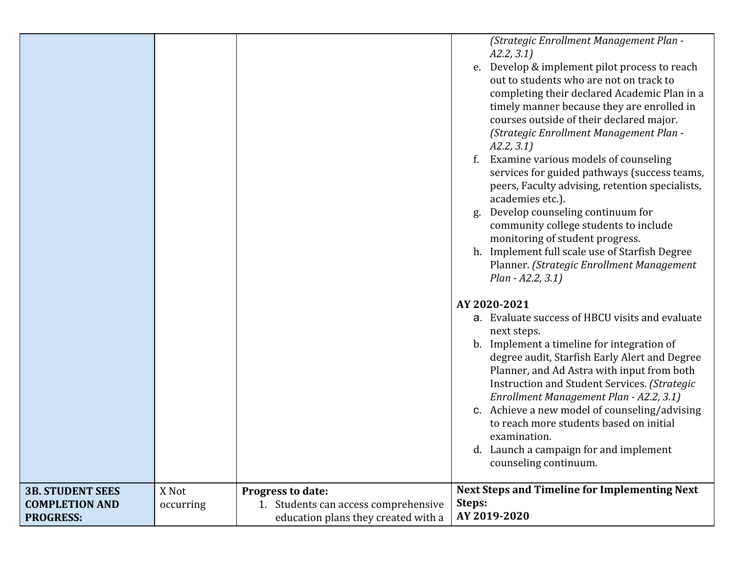| <b>3B. STUDENT SEES</b> | X Not | Progress to date: | b. Implement a timeline for integration of<br>degree audit, Starfish Early Alert and Degree<br>Planner, and Ad Astra with input from both<br>Instruction and Student Services. (Strategic<br>Enrollment Management Plan - A2.2, 3.1)<br>c. Achieve a new model of counseling/advising<br>to reach more students based on initial<br>examination.<br>d. Launch a campaign for and implement<br>counseling continuum.<br><b>Next Steps and Timeline for Implementing Next</b>                                                                                                                                                                                                                                                               |
|-------------------------|-------|-------------------|-------------------------------------------------------------------------------------------------------------------------------------------------------------------------------------------------------------------------------------------------------------------------------------------------------------------------------------------------------------------------------------------------------------------------------------------------------------------------------------------------------------------------------------------------------------------------------------------------------------------------------------------------------------------------------------------------------------------------------------------|
|                         |       |                   |                                                                                                                                                                                                                                                                                                                                                                                                                                                                                                                                                                                                                                                                                                                                           |
|                         |       |                   | Plan - A2.2, 3.1)<br>AY 2020-2021<br>a. Evaluate success of HBCU visits and evaluate<br>next steps.                                                                                                                                                                                                                                                                                                                                                                                                                                                                                                                                                                                                                                       |
|                         |       |                   | (Strategic Enrollment Management Plan -<br>A2.2, 3.1<br>Develop & implement pilot process to reach<br>out to students who are not on track to<br>completing their declared Academic Plan in a<br>timely manner because they are enrolled in<br>courses outside of their declared major.<br>(Strategic Enrollment Management Plan -<br>A2.2, 3.1<br>Examine various models of counseling<br>f.<br>services for guided pathways (success teams,<br>peers, Faculty advising, retention specialists,<br>academies etc.).<br>Develop counseling continuum for<br>g.<br>community college students to include<br>monitoring of student progress.<br>h. Implement full scale use of Starfish Degree<br>Planner. (Strategic Enrollment Management |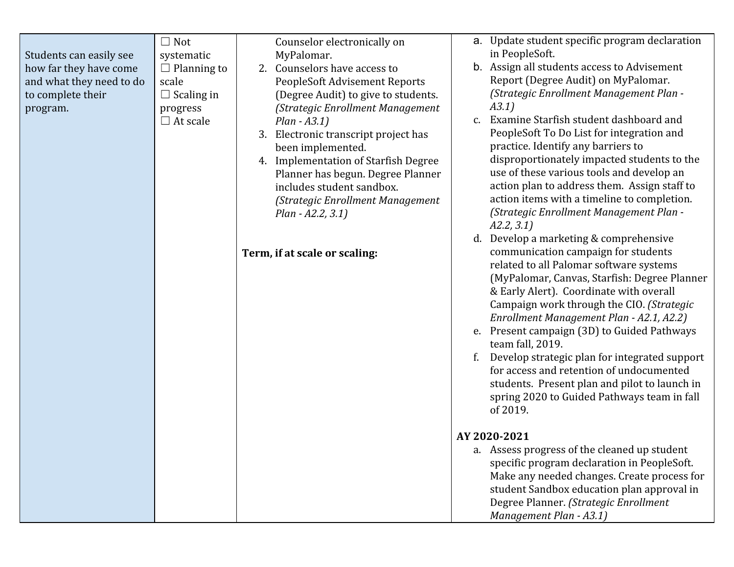| Students can easily see<br>how far they have come<br>and what they need to do<br>to complete their<br>program. | $\Box$ Not<br>systematic<br>$\Box$ Planning to<br>scale<br>$\Box$ Scaling in<br>progress<br>$\Box$ At scale | Counselor electronically on<br>MyPalomar.<br>2. Counselors have access to<br>PeopleSoft Advisement Reports<br>(Degree Audit) to give to students.<br>(Strategic Enrollment Management<br>$Plan - A3.1)$<br>Electronic transcript project has<br>3.<br>been implemented.<br>4. Implementation of Starfish Degree<br>Planner has begun. Degree Planner<br>includes student sandbox.<br>(Strategic Enrollment Management<br>Plan - A2.2, 3.1)<br>Term, if at scale or scaling: | $C_{\bullet}$<br>d. | a. Update student specific program declaration<br>in PeopleSoft.<br>b. Assign all students access to Advisement<br>Report (Degree Audit) on MyPalomar.<br>(Strategic Enrollment Management Plan -<br>A3.1)<br>Examine Starfish student dashboard and<br>PeopleSoft To Do List for integration and<br>practice. Identify any barriers to<br>disproportionately impacted students to the<br>use of these various tools and develop an<br>action plan to address them. Assign staff to<br>action items with a timeline to completion.<br>(Strategic Enrollment Management Plan -<br>A2.2, 3.1<br>Develop a marketing & comprehensive<br>communication campaign for students<br>related to all Palomar software systems<br>(MyPalomar, Canvas, Starfish: Degree Planner<br>& Early Alert). Coordinate with overall<br>Campaign work through the CIO. (Strategic<br>Enrollment Management Plan - A2.1, A2.2)<br>e. Present campaign (3D) to Guided Pathways<br>team fall, 2019.<br>Develop strategic plan for integrated support<br>for access and retention of undocumented<br>students. Present plan and pilot to launch in<br>spring 2020 to Guided Pathways team in fall<br>of 2019.<br>AY 2020-2021 |
|----------------------------------------------------------------------------------------------------------------|-------------------------------------------------------------------------------------------------------------|-----------------------------------------------------------------------------------------------------------------------------------------------------------------------------------------------------------------------------------------------------------------------------------------------------------------------------------------------------------------------------------------------------------------------------------------------------------------------------|---------------------|-----------------------------------------------------------------------------------------------------------------------------------------------------------------------------------------------------------------------------------------------------------------------------------------------------------------------------------------------------------------------------------------------------------------------------------------------------------------------------------------------------------------------------------------------------------------------------------------------------------------------------------------------------------------------------------------------------------------------------------------------------------------------------------------------------------------------------------------------------------------------------------------------------------------------------------------------------------------------------------------------------------------------------------------------------------------------------------------------------------------------------------------------------------------------------------------------------|
|                                                                                                                |                                                                                                             |                                                                                                                                                                                                                                                                                                                                                                                                                                                                             |                     | a. Assess progress of the cleaned up student<br>specific program declaration in PeopleSoft.<br>Make any needed changes. Create process for<br>student Sandbox education plan approval in<br>Degree Planner. (Strategic Enrollment<br>Management Plan - A3.1)                                                                                                                                                                                                                                                                                                                                                                                                                                                                                                                                                                                                                                                                                                                                                                                                                                                                                                                                        |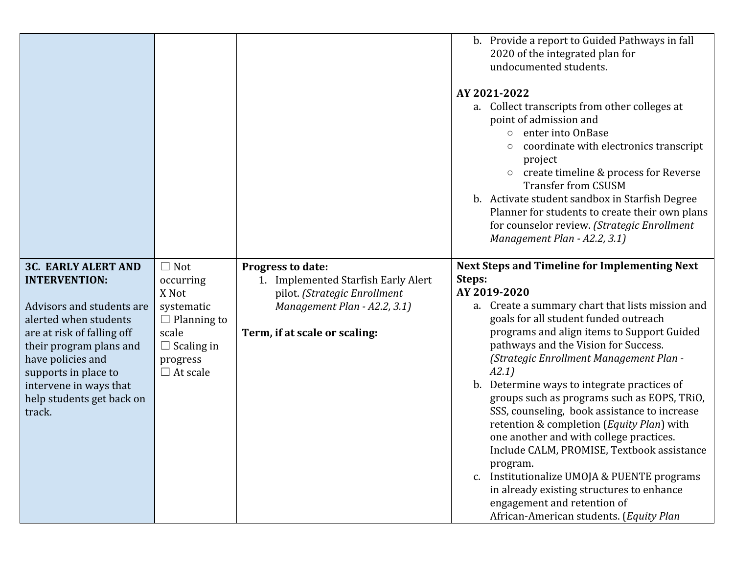|                                                                                                                                                                                                                                                                                 |                                                                                                                                   |                                                                                                                                                                  | b. Provide a report to Guided Pathways in fall<br>2020 of the integrated plan for<br>undocumented students.<br>AY 2021-2022<br>a. Collect transcripts from other colleges at<br>point of admission and<br>enter into OnBase<br>$\circ$<br>coordinate with electronics transcript<br>project<br>$\circ$ create timeline & process for Reverse<br><b>Transfer from CSUSM</b><br>b. Activate student sandbox in Starfish Degree<br>Planner for students to create their own plans<br>for counselor review. (Strategic Enrollment<br>Management Plan - A2.2, 3.1)                                                                                                                                                                                                                                     |
|---------------------------------------------------------------------------------------------------------------------------------------------------------------------------------------------------------------------------------------------------------------------------------|-----------------------------------------------------------------------------------------------------------------------------------|------------------------------------------------------------------------------------------------------------------------------------------------------------------|---------------------------------------------------------------------------------------------------------------------------------------------------------------------------------------------------------------------------------------------------------------------------------------------------------------------------------------------------------------------------------------------------------------------------------------------------------------------------------------------------------------------------------------------------------------------------------------------------------------------------------------------------------------------------------------------------------------------------------------------------------------------------------------------------|
| <b>3C. EARLY ALERT AND</b><br><b>INTERVENTION:</b><br>Advisors and students are<br>alerted when students<br>are at risk of falling off<br>their program plans and<br>have policies and<br>supports in place to<br>intervene in ways that<br>help students get back on<br>track. | $\Box$ Not<br>occurring<br>X Not<br>systematic<br>$\Box$ Planning to<br>scale<br>$\Box$ Scaling in<br>progress<br>$\Box$ At scale | <b>Progress to date:</b><br>1. Implemented Starfish Early Alert<br>pilot. (Strategic Enrollment<br>Management Plan - A2.2, 3.1)<br>Term, if at scale or scaling: | <b>Next Steps and Timeline for Implementing Next</b><br>Steps:<br>AY 2019-2020<br>a. Create a summary chart that lists mission and<br>goals for all student funded outreach<br>programs and align items to Support Guided<br>pathways and the Vision for Success.<br>(Strategic Enrollment Management Plan -<br>A2.1)<br>Determine ways to integrate practices of<br>b.<br>groups such as programs such as EOPS, TRiO,<br>SSS, counseling, book assistance to increase<br>retention & completion (Equity Plan) with<br>one another and with college practices.<br>Include CALM, PROMISE, Textbook assistance<br>program.<br>Institutionalize UMOJA & PUENTE programs<br>c.<br>in already existing structures to enhance<br>engagement and retention of<br>African-American students. (Equity Plan |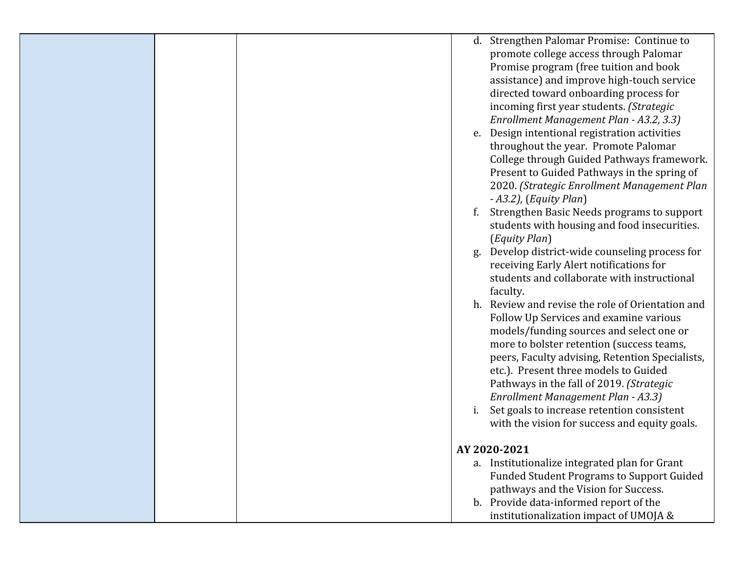| Strengthen Palomar Promise: Continue to<br>d.      |  |
|----------------------------------------------------|--|
|                                                    |  |
| promote college access through Palomar             |  |
| Promise program (free tuition and book             |  |
| assistance) and improve high-touch service         |  |
| directed toward onboarding process for             |  |
| incoming first year students. (Strategic           |  |
| Enrollment Management Plan - A3.2, 3.3)            |  |
| Design intentional registration activities<br>e.   |  |
| throughout the year. Promote Palomar               |  |
| College through Guided Pathways framework.         |  |
| Present to Guided Pathways in the spring of        |  |
| 2020. (Strategic Enrollment Management Plan        |  |
| $- A3.2$ ), (Equity Plan)                          |  |
| Strengthen Basic Needs programs to support<br>f.   |  |
| students with housing and food insecurities.       |  |
| (Equity Plan)                                      |  |
| Develop district-wide counseling process for<br>g. |  |
| receiving Early Alert notifications for            |  |
| students and collaborate with instructional        |  |
|                                                    |  |
| faculty.                                           |  |
| h. Review and revise the role of Orientation and   |  |
| Follow Up Services and examine various             |  |
| models/funding sources and select one or           |  |
| more to bolster retention (success teams,          |  |
| peers, Faculty advising, Retention Specialists,    |  |
| etc.). Present three models to Guided              |  |
| Pathways in the fall of 2019. (Strategic           |  |
| Enrollment Management Plan - A3.3)                 |  |
| Set goals to increase retention consistent         |  |
| with the vision for success and equity goals.      |  |
|                                                    |  |
| AY 2020-2021                                       |  |
| a. Institutionalize integrated plan for Grant      |  |
| <b>Funded Student Programs to Support Guided</b>   |  |
| pathways and the Vision for Success.               |  |
| b. Provide data-informed report of the             |  |
| institutionalization impact of UMOJA &             |  |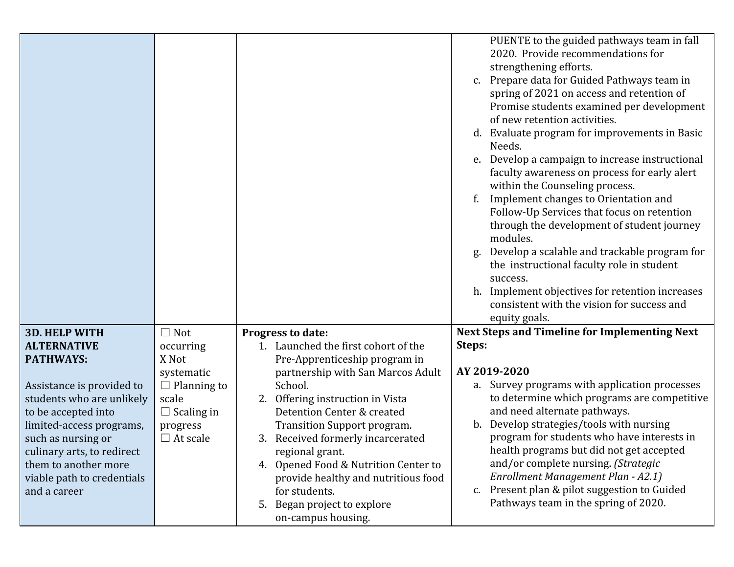|                                                    |                    |                                                         | PUENTE to the guided pathways team in fall<br>2020. Provide recommendations for<br>strengthening efforts.<br>c. Prepare data for Guided Pathways team in<br>spring of 2021 on access and retention of<br>Promise students examined per development<br>of new retention activities.<br>d. Evaluate program for improvements in Basic<br>Needs.<br>Develop a campaign to increase instructional<br>e.<br>faculty awareness on process for early alert<br>within the Counseling process.<br>Implement changes to Orientation and<br>Follow-Up Services that focus on retention<br>through the development of student journey<br>modules.<br>Develop a scalable and trackable program for<br>g.<br>the instructional faculty role in student<br>success.<br>h. Implement objectives for retention increases<br>consistent with the vision for success and<br>equity goals. |
|----------------------------------------------------|--------------------|---------------------------------------------------------|------------------------------------------------------------------------------------------------------------------------------------------------------------------------------------------------------------------------------------------------------------------------------------------------------------------------------------------------------------------------------------------------------------------------------------------------------------------------------------------------------------------------------------------------------------------------------------------------------------------------------------------------------------------------------------------------------------------------------------------------------------------------------------------------------------------------------------------------------------------------|
| <b>3D. HELP WITH</b>                               | $\Box$ Not         | Progress to date:                                       | <b>Next Steps and Timeline for Implementing Next</b>                                                                                                                                                                                                                                                                                                                                                                                                                                                                                                                                                                                                                                                                                                                                                                                                                   |
| <b>ALTERNATIVE</b>                                 | occurring          | 1. Launched the first cohort of the                     | Steps:                                                                                                                                                                                                                                                                                                                                                                                                                                                                                                                                                                                                                                                                                                                                                                                                                                                                 |
| <b>PATHWAYS:</b>                                   | X Not              | Pre-Apprenticeship program in                           |                                                                                                                                                                                                                                                                                                                                                                                                                                                                                                                                                                                                                                                                                                                                                                                                                                                                        |
|                                                    | systematic         | partnership with San Marcos Adult                       | AY 2019-2020                                                                                                                                                                                                                                                                                                                                                                                                                                                                                                                                                                                                                                                                                                                                                                                                                                                           |
| Assistance is provided to                          | $\Box$ Planning to | School.                                                 | a. Survey programs with application processes                                                                                                                                                                                                                                                                                                                                                                                                                                                                                                                                                                                                                                                                                                                                                                                                                          |
| students who are unlikely                          | scale              | Offering instruction in Vista<br>2.                     | to determine which programs are competitive                                                                                                                                                                                                                                                                                                                                                                                                                                                                                                                                                                                                                                                                                                                                                                                                                            |
| to be accepted into                                | $\Box$ Scaling in  | Detention Center & created                              | and need alternate pathways.                                                                                                                                                                                                                                                                                                                                                                                                                                                                                                                                                                                                                                                                                                                                                                                                                                           |
| limited-access programs,                           | progress           | Transition Support program.                             | Develop strategies/tools with nursing<br>b.                                                                                                                                                                                                                                                                                                                                                                                                                                                                                                                                                                                                                                                                                                                                                                                                                            |
| such as nursing or                                 | $\Box$ At scale    | 3. Received formerly incarcerated                       | program for students who have interests in                                                                                                                                                                                                                                                                                                                                                                                                                                                                                                                                                                                                                                                                                                                                                                                                                             |
| culinary arts, to redirect<br>them to another more |                    | regional grant.<br>4. Opened Food & Nutrition Center to | health programs but did not get accepted<br>and/or complete nursing. (Strategic                                                                                                                                                                                                                                                                                                                                                                                                                                                                                                                                                                                                                                                                                                                                                                                        |
| viable path to credentials                         |                    | provide healthy and nutritious food                     | Enrollment Management Plan - A2.1)                                                                                                                                                                                                                                                                                                                                                                                                                                                                                                                                                                                                                                                                                                                                                                                                                                     |
| and a career                                       |                    | for students.                                           | Present plan & pilot suggestion to Guided<br>c.                                                                                                                                                                                                                                                                                                                                                                                                                                                                                                                                                                                                                                                                                                                                                                                                                        |
|                                                    |                    | 5. Began project to explore                             | Pathways team in the spring of 2020.                                                                                                                                                                                                                                                                                                                                                                                                                                                                                                                                                                                                                                                                                                                                                                                                                                   |
|                                                    |                    | on-campus housing.                                      |                                                                                                                                                                                                                                                                                                                                                                                                                                                                                                                                                                                                                                                                                                                                                                                                                                                                        |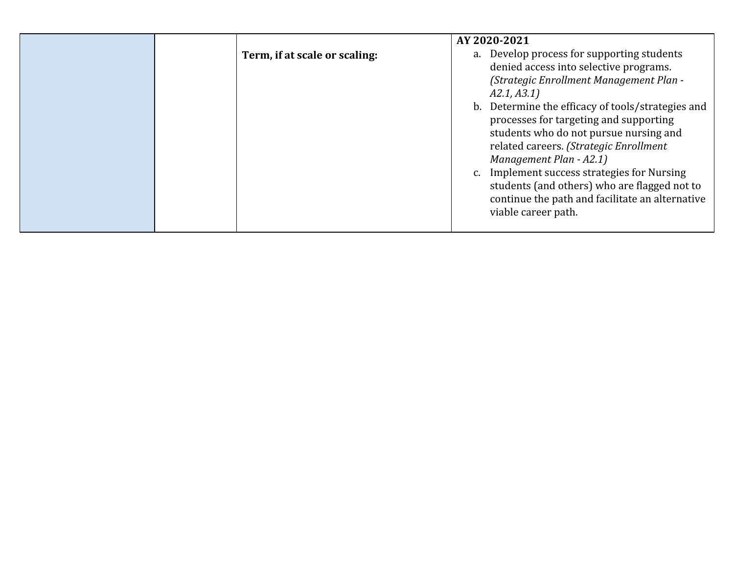|                               | AY 2020-2021                                                                                                                                                                                                                                                                                                                                                                                                                                                                                                                          |
|-------------------------------|---------------------------------------------------------------------------------------------------------------------------------------------------------------------------------------------------------------------------------------------------------------------------------------------------------------------------------------------------------------------------------------------------------------------------------------------------------------------------------------------------------------------------------------|
| Term, if at scale or scaling: | a. Develop process for supporting students<br>denied access into selective programs.<br>(Strategic Enrollment Management Plan -<br>A2.1, A3.1)<br>b. Determine the efficacy of tools/strategies and<br>processes for targeting and supporting<br>students who do not pursue nursing and<br>related careers. (Strategic Enrollment<br>Management Plan - A2.1)<br>c. Implement success strategies for Nursing<br>students (and others) who are flagged not to<br>continue the path and facilitate an alternative<br>viable career path. |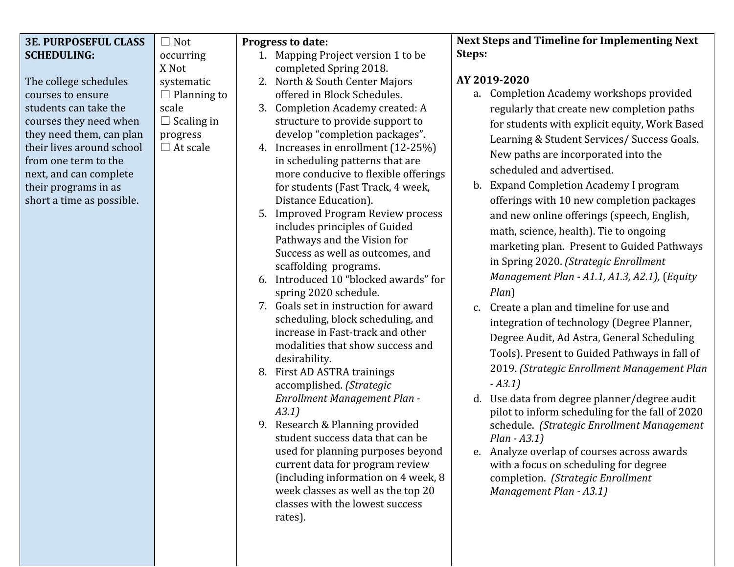| Steps:<br><b>SCHEDULING:</b><br>1. Mapping Project version 1 to be<br>occurring<br>X Not<br>completed Spring 2018.<br>AY 2019-2020<br>2. North & South Center Majors<br>The college schedules<br>systematic<br>a. Completion Academy workshops provided<br>offered in Block Schedules.<br>$\Box$ Planning to<br>courses to ensure<br>students can take the<br>Completion Academy created: A<br>scale<br>3.<br>regularly that create new completion paths<br>courses they need when<br>$\Box$ Scaling in<br>structure to provide support to<br>for students with explicit equity, Work Based<br>develop "completion packages".<br>they need them, can plan<br>progress<br>Learning & Student Services/ Success Goals.<br>their lives around school<br>$\Box$ At scale<br>4. Increases in enrollment (12-25%)<br>New paths are incorporated into the<br>from one term to the<br>in scheduling patterns that are<br>scheduled and advertised.<br>more conducive to flexible offerings<br>next, and can complete<br><b>Expand Completion Academy I program</b><br>$\mathbf b$ .<br>their programs in as<br>for students (Fast Track, 4 week,<br>Distance Education).<br>short a time as possible.<br>offerings with 10 new completion packages<br>5. Improved Program Review process<br>and new online offerings (speech, English,<br>includes principles of Guided<br>math, science, health). Tie to ongoing<br>Pathways and the Vision for<br>marketing plan. Present to Guided Pathways<br>Success as well as outcomes, and<br>in Spring 2020. (Strategic Enrollment<br>scaffolding programs.<br>Management Plan - A1.1, A1.3, A2.1), (Equity<br>6. Introduced 10 "blocked awards" for<br>$Plan$ )<br>spring 2020 schedule.<br>7. Goals set in instruction for award<br>Create a plan and timeline for use and<br>$C_{\bullet}$<br>scheduling, block scheduling, and<br>integration of technology (Degree Planner,<br>increase in Fast-track and other<br>Degree Audit, Ad Astra, General Scheduling<br>modalities that show success and<br>Tools). Present to Guided Pathways in fall of<br>desirability.<br>2019. (Strategic Enrollment Management Plan<br>8. First AD ASTRA trainings<br>$- A3.1)$<br>accomplished. (Strategic<br>Enrollment Management Plan -<br>Use data from degree planner/degree audit<br>d.<br>A3.1)<br>pilot to inform scheduling for the fall of 2020<br>9. Research & Planning provided<br>schedule. (Strategic Enrollment Management | <b>3E. PURPOSEFUL CLASS</b> | $\Box$ Not | Progress to date: | <b>Next Steps and Timeline for Implementing Next</b> |
|------------------------------------------------------------------------------------------------------------------------------------------------------------------------------------------------------------------------------------------------------------------------------------------------------------------------------------------------------------------------------------------------------------------------------------------------------------------------------------------------------------------------------------------------------------------------------------------------------------------------------------------------------------------------------------------------------------------------------------------------------------------------------------------------------------------------------------------------------------------------------------------------------------------------------------------------------------------------------------------------------------------------------------------------------------------------------------------------------------------------------------------------------------------------------------------------------------------------------------------------------------------------------------------------------------------------------------------------------------------------------------------------------------------------------------------------------------------------------------------------------------------------------------------------------------------------------------------------------------------------------------------------------------------------------------------------------------------------------------------------------------------------------------------------------------------------------------------------------------------------------------------------------------------------------------------------------------------------------------------------------------------------------------------------------------------------------------------------------------------------------------------------------------------------------------------------------------------------------------------------------------------------------------------------------------------------------------------------------------------------------------------------------------------------------------------------------------------|-----------------------------|------------|-------------------|------------------------------------------------------|
|                                                                                                                                                                                                                                                                                                                                                                                                                                                                                                                                                                                                                                                                                                                                                                                                                                                                                                                                                                                                                                                                                                                                                                                                                                                                                                                                                                                                                                                                                                                                                                                                                                                                                                                                                                                                                                                                                                                                                                                                                                                                                                                                                                                                                                                                                                                                                                                                                                                                  |                             |            |                   |                                                      |
|                                                                                                                                                                                                                                                                                                                                                                                                                                                                                                                                                                                                                                                                                                                                                                                                                                                                                                                                                                                                                                                                                                                                                                                                                                                                                                                                                                                                                                                                                                                                                                                                                                                                                                                                                                                                                                                                                                                                                                                                                                                                                                                                                                                                                                                                                                                                                                                                                                                                  |                             |            |                   |                                                      |
|                                                                                                                                                                                                                                                                                                                                                                                                                                                                                                                                                                                                                                                                                                                                                                                                                                                                                                                                                                                                                                                                                                                                                                                                                                                                                                                                                                                                                                                                                                                                                                                                                                                                                                                                                                                                                                                                                                                                                                                                                                                                                                                                                                                                                                                                                                                                                                                                                                                                  |                             |            |                   |                                                      |
|                                                                                                                                                                                                                                                                                                                                                                                                                                                                                                                                                                                                                                                                                                                                                                                                                                                                                                                                                                                                                                                                                                                                                                                                                                                                                                                                                                                                                                                                                                                                                                                                                                                                                                                                                                                                                                                                                                                                                                                                                                                                                                                                                                                                                                                                                                                                                                                                                                                                  |                             |            |                   |                                                      |
|                                                                                                                                                                                                                                                                                                                                                                                                                                                                                                                                                                                                                                                                                                                                                                                                                                                                                                                                                                                                                                                                                                                                                                                                                                                                                                                                                                                                                                                                                                                                                                                                                                                                                                                                                                                                                                                                                                                                                                                                                                                                                                                                                                                                                                                                                                                                                                                                                                                                  |                             |            |                   |                                                      |
|                                                                                                                                                                                                                                                                                                                                                                                                                                                                                                                                                                                                                                                                                                                                                                                                                                                                                                                                                                                                                                                                                                                                                                                                                                                                                                                                                                                                                                                                                                                                                                                                                                                                                                                                                                                                                                                                                                                                                                                                                                                                                                                                                                                                                                                                                                                                                                                                                                                                  |                             |            |                   |                                                      |
|                                                                                                                                                                                                                                                                                                                                                                                                                                                                                                                                                                                                                                                                                                                                                                                                                                                                                                                                                                                                                                                                                                                                                                                                                                                                                                                                                                                                                                                                                                                                                                                                                                                                                                                                                                                                                                                                                                                                                                                                                                                                                                                                                                                                                                                                                                                                                                                                                                                                  |                             |            |                   |                                                      |
|                                                                                                                                                                                                                                                                                                                                                                                                                                                                                                                                                                                                                                                                                                                                                                                                                                                                                                                                                                                                                                                                                                                                                                                                                                                                                                                                                                                                                                                                                                                                                                                                                                                                                                                                                                                                                                                                                                                                                                                                                                                                                                                                                                                                                                                                                                                                                                                                                                                                  |                             |            |                   |                                                      |
|                                                                                                                                                                                                                                                                                                                                                                                                                                                                                                                                                                                                                                                                                                                                                                                                                                                                                                                                                                                                                                                                                                                                                                                                                                                                                                                                                                                                                                                                                                                                                                                                                                                                                                                                                                                                                                                                                                                                                                                                                                                                                                                                                                                                                                                                                                                                                                                                                                                                  |                             |            |                   |                                                      |
|                                                                                                                                                                                                                                                                                                                                                                                                                                                                                                                                                                                                                                                                                                                                                                                                                                                                                                                                                                                                                                                                                                                                                                                                                                                                                                                                                                                                                                                                                                                                                                                                                                                                                                                                                                                                                                                                                                                                                                                                                                                                                                                                                                                                                                                                                                                                                                                                                                                                  |                             |            |                   |                                                      |
|                                                                                                                                                                                                                                                                                                                                                                                                                                                                                                                                                                                                                                                                                                                                                                                                                                                                                                                                                                                                                                                                                                                                                                                                                                                                                                                                                                                                                                                                                                                                                                                                                                                                                                                                                                                                                                                                                                                                                                                                                                                                                                                                                                                                                                                                                                                                                                                                                                                                  |                             |            |                   |                                                      |
|                                                                                                                                                                                                                                                                                                                                                                                                                                                                                                                                                                                                                                                                                                                                                                                                                                                                                                                                                                                                                                                                                                                                                                                                                                                                                                                                                                                                                                                                                                                                                                                                                                                                                                                                                                                                                                                                                                                                                                                                                                                                                                                                                                                                                                                                                                                                                                                                                                                                  |                             |            |                   |                                                      |
|                                                                                                                                                                                                                                                                                                                                                                                                                                                                                                                                                                                                                                                                                                                                                                                                                                                                                                                                                                                                                                                                                                                                                                                                                                                                                                                                                                                                                                                                                                                                                                                                                                                                                                                                                                                                                                                                                                                                                                                                                                                                                                                                                                                                                                                                                                                                                                                                                                                                  |                             |            |                   |                                                      |
|                                                                                                                                                                                                                                                                                                                                                                                                                                                                                                                                                                                                                                                                                                                                                                                                                                                                                                                                                                                                                                                                                                                                                                                                                                                                                                                                                                                                                                                                                                                                                                                                                                                                                                                                                                                                                                                                                                                                                                                                                                                                                                                                                                                                                                                                                                                                                                                                                                                                  |                             |            |                   |                                                      |
|                                                                                                                                                                                                                                                                                                                                                                                                                                                                                                                                                                                                                                                                                                                                                                                                                                                                                                                                                                                                                                                                                                                                                                                                                                                                                                                                                                                                                                                                                                                                                                                                                                                                                                                                                                                                                                                                                                                                                                                                                                                                                                                                                                                                                                                                                                                                                                                                                                                                  |                             |            |                   |                                                      |
|                                                                                                                                                                                                                                                                                                                                                                                                                                                                                                                                                                                                                                                                                                                                                                                                                                                                                                                                                                                                                                                                                                                                                                                                                                                                                                                                                                                                                                                                                                                                                                                                                                                                                                                                                                                                                                                                                                                                                                                                                                                                                                                                                                                                                                                                                                                                                                                                                                                                  |                             |            |                   |                                                      |
|                                                                                                                                                                                                                                                                                                                                                                                                                                                                                                                                                                                                                                                                                                                                                                                                                                                                                                                                                                                                                                                                                                                                                                                                                                                                                                                                                                                                                                                                                                                                                                                                                                                                                                                                                                                                                                                                                                                                                                                                                                                                                                                                                                                                                                                                                                                                                                                                                                                                  |                             |            |                   |                                                      |
|                                                                                                                                                                                                                                                                                                                                                                                                                                                                                                                                                                                                                                                                                                                                                                                                                                                                                                                                                                                                                                                                                                                                                                                                                                                                                                                                                                                                                                                                                                                                                                                                                                                                                                                                                                                                                                                                                                                                                                                                                                                                                                                                                                                                                                                                                                                                                                                                                                                                  |                             |            |                   |                                                      |
|                                                                                                                                                                                                                                                                                                                                                                                                                                                                                                                                                                                                                                                                                                                                                                                                                                                                                                                                                                                                                                                                                                                                                                                                                                                                                                                                                                                                                                                                                                                                                                                                                                                                                                                                                                                                                                                                                                                                                                                                                                                                                                                                                                                                                                                                                                                                                                                                                                                                  |                             |            |                   |                                                      |
|                                                                                                                                                                                                                                                                                                                                                                                                                                                                                                                                                                                                                                                                                                                                                                                                                                                                                                                                                                                                                                                                                                                                                                                                                                                                                                                                                                                                                                                                                                                                                                                                                                                                                                                                                                                                                                                                                                                                                                                                                                                                                                                                                                                                                                                                                                                                                                                                                                                                  |                             |            |                   |                                                      |
|                                                                                                                                                                                                                                                                                                                                                                                                                                                                                                                                                                                                                                                                                                                                                                                                                                                                                                                                                                                                                                                                                                                                                                                                                                                                                                                                                                                                                                                                                                                                                                                                                                                                                                                                                                                                                                                                                                                                                                                                                                                                                                                                                                                                                                                                                                                                                                                                                                                                  |                             |            |                   |                                                      |
|                                                                                                                                                                                                                                                                                                                                                                                                                                                                                                                                                                                                                                                                                                                                                                                                                                                                                                                                                                                                                                                                                                                                                                                                                                                                                                                                                                                                                                                                                                                                                                                                                                                                                                                                                                                                                                                                                                                                                                                                                                                                                                                                                                                                                                                                                                                                                                                                                                                                  |                             |            |                   |                                                      |
|                                                                                                                                                                                                                                                                                                                                                                                                                                                                                                                                                                                                                                                                                                                                                                                                                                                                                                                                                                                                                                                                                                                                                                                                                                                                                                                                                                                                                                                                                                                                                                                                                                                                                                                                                                                                                                                                                                                                                                                                                                                                                                                                                                                                                                                                                                                                                                                                                                                                  |                             |            |                   |                                                      |
|                                                                                                                                                                                                                                                                                                                                                                                                                                                                                                                                                                                                                                                                                                                                                                                                                                                                                                                                                                                                                                                                                                                                                                                                                                                                                                                                                                                                                                                                                                                                                                                                                                                                                                                                                                                                                                                                                                                                                                                                                                                                                                                                                                                                                                                                                                                                                                                                                                                                  |                             |            |                   |                                                      |
|                                                                                                                                                                                                                                                                                                                                                                                                                                                                                                                                                                                                                                                                                                                                                                                                                                                                                                                                                                                                                                                                                                                                                                                                                                                                                                                                                                                                                                                                                                                                                                                                                                                                                                                                                                                                                                                                                                                                                                                                                                                                                                                                                                                                                                                                                                                                                                                                                                                                  |                             |            |                   |                                                      |
|                                                                                                                                                                                                                                                                                                                                                                                                                                                                                                                                                                                                                                                                                                                                                                                                                                                                                                                                                                                                                                                                                                                                                                                                                                                                                                                                                                                                                                                                                                                                                                                                                                                                                                                                                                                                                                                                                                                                                                                                                                                                                                                                                                                                                                                                                                                                                                                                                                                                  |                             |            |                   |                                                      |
|                                                                                                                                                                                                                                                                                                                                                                                                                                                                                                                                                                                                                                                                                                                                                                                                                                                                                                                                                                                                                                                                                                                                                                                                                                                                                                                                                                                                                                                                                                                                                                                                                                                                                                                                                                                                                                                                                                                                                                                                                                                                                                                                                                                                                                                                                                                                                                                                                                                                  |                             |            |                   |                                                      |
|                                                                                                                                                                                                                                                                                                                                                                                                                                                                                                                                                                                                                                                                                                                                                                                                                                                                                                                                                                                                                                                                                                                                                                                                                                                                                                                                                                                                                                                                                                                                                                                                                                                                                                                                                                                                                                                                                                                                                                                                                                                                                                                                                                                                                                                                                                                                                                                                                                                                  |                             |            |                   |                                                      |
| student success data that can be<br>$Plan - A3.1)$                                                                                                                                                                                                                                                                                                                                                                                                                                                                                                                                                                                                                                                                                                                                                                                                                                                                                                                                                                                                                                                                                                                                                                                                                                                                                                                                                                                                                                                                                                                                                                                                                                                                                                                                                                                                                                                                                                                                                                                                                                                                                                                                                                                                                                                                                                                                                                                                               |                             |            |                   |                                                      |
| used for planning purposes beyond<br>e. Analyze overlap of courses across awards                                                                                                                                                                                                                                                                                                                                                                                                                                                                                                                                                                                                                                                                                                                                                                                                                                                                                                                                                                                                                                                                                                                                                                                                                                                                                                                                                                                                                                                                                                                                                                                                                                                                                                                                                                                                                                                                                                                                                                                                                                                                                                                                                                                                                                                                                                                                                                                 |                             |            |                   |                                                      |
| current data for program review<br>with a focus on scheduling for degree                                                                                                                                                                                                                                                                                                                                                                                                                                                                                                                                                                                                                                                                                                                                                                                                                                                                                                                                                                                                                                                                                                                                                                                                                                                                                                                                                                                                                                                                                                                                                                                                                                                                                                                                                                                                                                                                                                                                                                                                                                                                                                                                                                                                                                                                                                                                                                                         |                             |            |                   |                                                      |
| (including information on 4 week, 8<br>completion. (Strategic Enrollment                                                                                                                                                                                                                                                                                                                                                                                                                                                                                                                                                                                                                                                                                                                                                                                                                                                                                                                                                                                                                                                                                                                                                                                                                                                                                                                                                                                                                                                                                                                                                                                                                                                                                                                                                                                                                                                                                                                                                                                                                                                                                                                                                                                                                                                                                                                                                                                         |                             |            |                   |                                                      |
| week classes as well as the top 20<br>Management Plan - A3.1)<br>classes with the lowest success                                                                                                                                                                                                                                                                                                                                                                                                                                                                                                                                                                                                                                                                                                                                                                                                                                                                                                                                                                                                                                                                                                                                                                                                                                                                                                                                                                                                                                                                                                                                                                                                                                                                                                                                                                                                                                                                                                                                                                                                                                                                                                                                                                                                                                                                                                                                                                 |                             |            |                   |                                                      |
|                                                                                                                                                                                                                                                                                                                                                                                                                                                                                                                                                                                                                                                                                                                                                                                                                                                                                                                                                                                                                                                                                                                                                                                                                                                                                                                                                                                                                                                                                                                                                                                                                                                                                                                                                                                                                                                                                                                                                                                                                                                                                                                                                                                                                                                                                                                                                                                                                                                                  |                             |            |                   |                                                      |
| rates).                                                                                                                                                                                                                                                                                                                                                                                                                                                                                                                                                                                                                                                                                                                                                                                                                                                                                                                                                                                                                                                                                                                                                                                                                                                                                                                                                                                                                                                                                                                                                                                                                                                                                                                                                                                                                                                                                                                                                                                                                                                                                                                                                                                                                                                                                                                                                                                                                                                          |                             |            |                   |                                                      |
|                                                                                                                                                                                                                                                                                                                                                                                                                                                                                                                                                                                                                                                                                                                                                                                                                                                                                                                                                                                                                                                                                                                                                                                                                                                                                                                                                                                                                                                                                                                                                                                                                                                                                                                                                                                                                                                                                                                                                                                                                                                                                                                                                                                                                                                                                                                                                                                                                                                                  |                             |            |                   |                                                      |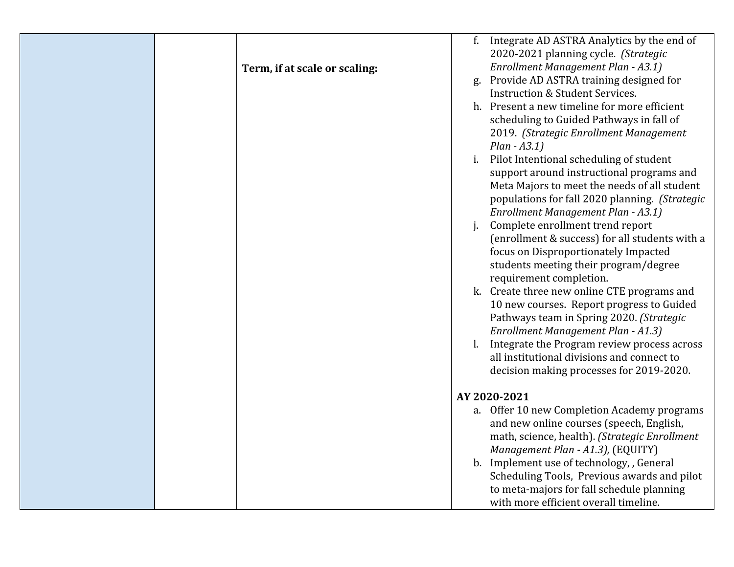|                               |                  | f. Integrate AD ASTRA Analytics by the end of  |
|-------------------------------|------------------|------------------------------------------------|
|                               |                  | 2020-2021 planning cycle. (Strategic           |
| Term, if at scale or scaling: |                  | Enrollment Management Plan - A3.1)             |
|                               | $\mathfrak{g}$ . | Provide AD ASTRA training designed for         |
|                               |                  | <b>Instruction &amp; Student Services.</b>     |
|                               |                  | h. Present a new timeline for more efficient   |
|                               |                  | scheduling to Guided Pathways in fall of       |
|                               |                  | 2019. (Strategic Enrollment Management         |
|                               |                  | $Plan - A3.1)$                                 |
|                               | i.               | Pilot Intentional scheduling of student        |
|                               |                  | support around instructional programs and      |
|                               |                  | Meta Majors to meet the needs of all student   |
|                               |                  | populations for fall 2020 planning. (Strategic |
|                               |                  | Enrollment Management Plan - A3.1)             |
|                               |                  | Complete enrollment trend report               |
|                               |                  | (enrollment & success) for all students with a |
|                               |                  | focus on Disproportionately Impacted           |
|                               |                  | students meeting their program/degree          |
|                               |                  | requirement completion.                        |
|                               |                  | k. Create three new online CTE programs and    |
|                               |                  | 10 new courses. Report progress to Guided      |
|                               |                  | Pathways team in Spring 2020. (Strategic       |
|                               |                  | Enrollment Management Plan - A1.3)             |
|                               |                  | Integrate the Program review process across    |
|                               |                  | all institutional divisions and connect to     |
|                               |                  | decision making processes for 2019-2020.       |
|                               |                  |                                                |
|                               |                  | AY 2020-2021                                   |
|                               |                  | a. Offer 10 new Completion Academy programs    |
|                               |                  | and new online courses (speech, English,       |
|                               |                  | math, science, health). (Strategic Enrollment  |
|                               |                  | Management Plan - A1.3), (EQUITY)              |
|                               |                  | b. Implement use of technology, , General      |
|                               |                  | Scheduling Tools, Previous awards and pilot    |
|                               |                  | to meta-majors for fall schedule planning      |
|                               |                  | with more efficient overall timeline.          |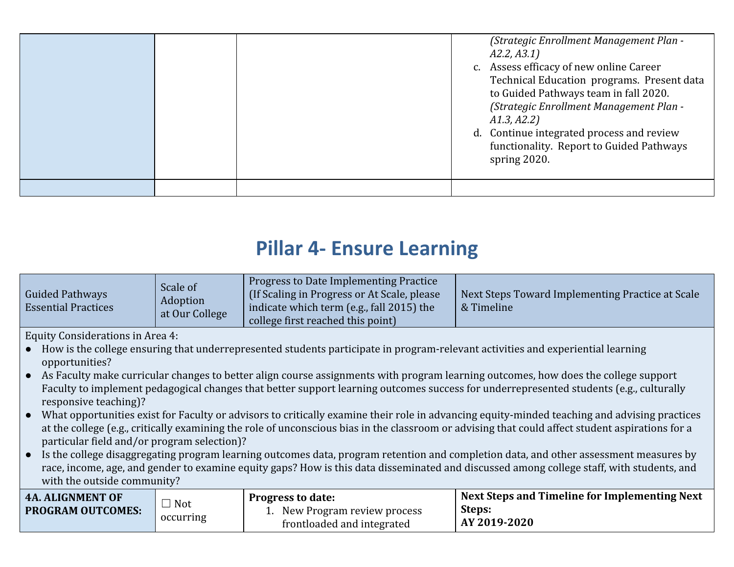|  | A2.2, A3.1)<br>$C_{\bullet}$<br>A1.3, A2.2<br>spring 2020. | (Strategic Enrollment Management Plan -<br>Assess efficacy of new online Career<br>Technical Education programs. Present data<br>to Guided Pathways team in fall 2020.<br>(Strategic Enrollment Management Plan -<br>d. Continue integrated process and review<br>functionality. Report to Guided Pathways |
|--|------------------------------------------------------------|------------------------------------------------------------------------------------------------------------------------------------------------------------------------------------------------------------------------------------------------------------------------------------------------------------|
|  |                                                            |                                                                                                                                                                                                                                                                                                            |

#### **Pillar 4- Ensure Learning**

| <b>Guided Pathways</b><br><b>Essential Practices</b> | Scale of<br>Adoption<br>at Our College | Progress to Date Implementing Practice<br>(If Scaling in Progress or At Scale, please)<br>indicate which term (e.g., fall 2015) the<br>college first reached this point) | Next Steps Toward Implementing Practice at Scale<br>& Timeline |
|------------------------------------------------------|----------------------------------------|--------------------------------------------------------------------------------------------------------------------------------------------------------------------------|----------------------------------------------------------------|
|------------------------------------------------------|----------------------------------------|--------------------------------------------------------------------------------------------------------------------------------------------------------------------------|----------------------------------------------------------------|

Equity Considerations in Area 4:

- How is the college ensuring that underrepresented students participate in program-relevant activities and experiential learning opportunities?
- As Faculty make curricular changes to better align course assignments with program learning outcomes, how does the college support Faculty to implement pedagogical changes that better support learning outcomes success for underrepresented students (e.g., culturally responsive teaching)?
- What opportunities exist for Faculty or advisors to critically examine their role in advancing equity-minded teaching and advising practices at the college (e.g., critically examining the role of unconscious bias in the classroom or advising that could affect student aspirations for a particular field and/or program selection)?
- Is the college disaggregating program learning outcomes data, program retention and completion data, and other assessment measures by race, income, age, and gender to examine equity gaps? How is this data disseminated and discussed among college staff, with students, and with the outside community?

| <b>4A. ALIGNMENT OF</b>  | Not       | <b>Progress to date:</b>                                 | Next Steps and Timeline for Implementing Next |
|--------------------------|-----------|----------------------------------------------------------|-----------------------------------------------|
| <b>PROGRAM OUTCOMES:</b> | occurring | New Program review process<br>frontloaded and integrated | Steps:<br>AY 2019-2020                        |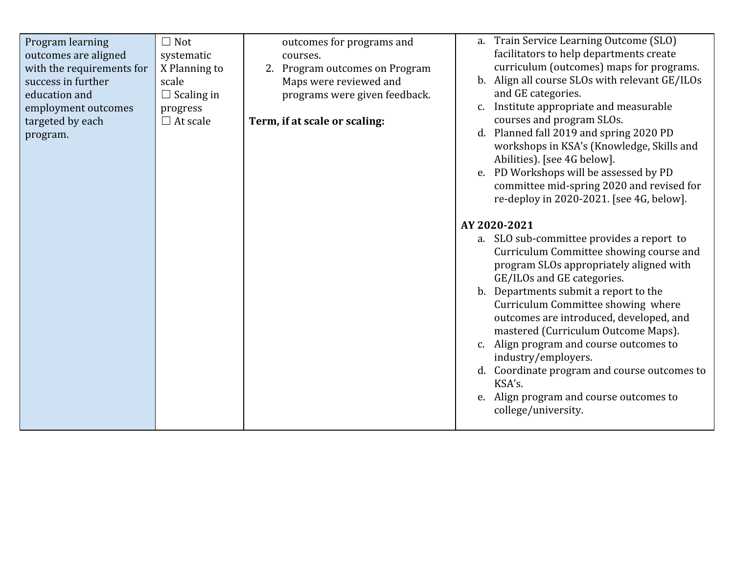| $\Box$ Not<br>Program learning<br>outcomes are aligned<br>systematic<br>courses.<br>with the requirements for<br>X Planning to<br>success in further<br>scale<br>education and<br>$\Box$ Scaling in<br>employment outcomes<br>progress<br>targeted by each<br>Term, if at scale or scaling:<br>$\Box$ At scale<br>program. | a. Train Service Learning Outcome (SLO)<br>outcomes for programs and<br>facilitators to help departments create<br>curriculum (outcomes) maps for programs.<br>2. Program outcomes on Program<br>b. Align all course SLOs with relevant GE/ILOs<br>Maps were reviewed and<br>and GE categories.<br>programs were given feedback.<br>Institute appropriate and measurable<br>courses and program SLOs.<br>d. Planned fall 2019 and spring 2020 PD<br>workshops in KSA's (Knowledge, Skills and<br>Abilities). [see 4G below].<br>e. PD Workshops will be assessed by PD<br>committee mid-spring 2020 and revised for<br>re-deploy in 2020-2021. [see 4G, below].<br>AY 2020-2021<br>a. SLO sub-committee provides a report to<br>Curriculum Committee showing course and<br>program SLOs appropriately aligned with<br>GE/ILOs and GE categories.<br>b. Departments submit a report to the<br>Curriculum Committee showing where<br>outcomes are introduced, developed, and<br>mastered (Curriculum Outcome Maps).<br>c. Align program and course outcomes to<br>industry/employers.<br>d. Coordinate program and course outcomes to<br>KSA's.<br>e. Align program and course outcomes to<br>college/university. |
|----------------------------------------------------------------------------------------------------------------------------------------------------------------------------------------------------------------------------------------------------------------------------------------------------------------------------|-----------------------------------------------------------------------------------------------------------------------------------------------------------------------------------------------------------------------------------------------------------------------------------------------------------------------------------------------------------------------------------------------------------------------------------------------------------------------------------------------------------------------------------------------------------------------------------------------------------------------------------------------------------------------------------------------------------------------------------------------------------------------------------------------------------------------------------------------------------------------------------------------------------------------------------------------------------------------------------------------------------------------------------------------------------------------------------------------------------------------------------------------------------------------------------------------------------------|
|----------------------------------------------------------------------------------------------------------------------------------------------------------------------------------------------------------------------------------------------------------------------------------------------------------------------------|-----------------------------------------------------------------------------------------------------------------------------------------------------------------------------------------------------------------------------------------------------------------------------------------------------------------------------------------------------------------------------------------------------------------------------------------------------------------------------------------------------------------------------------------------------------------------------------------------------------------------------------------------------------------------------------------------------------------------------------------------------------------------------------------------------------------------------------------------------------------------------------------------------------------------------------------------------------------------------------------------------------------------------------------------------------------------------------------------------------------------------------------------------------------------------------------------------------------|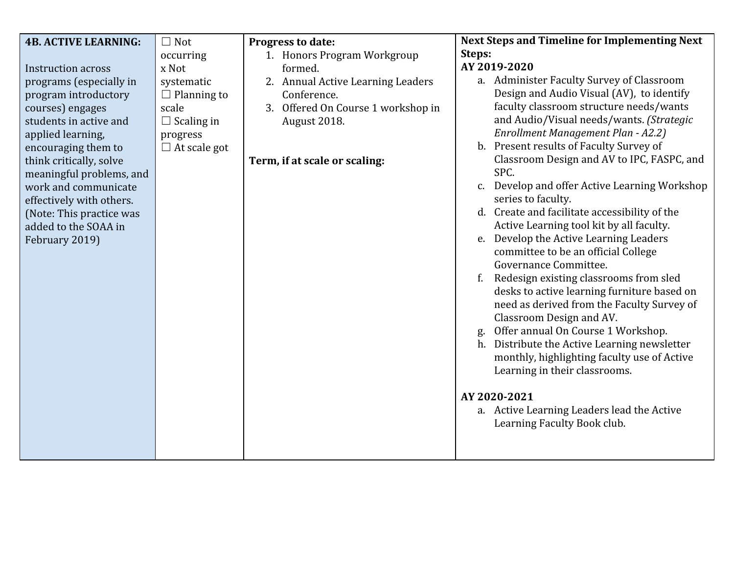| <b>4B. ACTIVE LEARNING:</b> | $\Box$ Not          | Progress to date:                  | <b>Next Steps and Timeline for Implementing Next</b> |
|-----------------------------|---------------------|------------------------------------|------------------------------------------------------|
|                             | occurring           | 1. Honors Program Workgroup        | Steps:                                               |
| <b>Instruction across</b>   | x Not               | formed.                            | AY 2019-2020                                         |
| programs (especially in     | systematic          | 2. Annual Active Learning Leaders  | a. Administer Faculty Survey of Classroom            |
| program introductory        | $\Box$ Planning to  | Conference.                        | Design and Audio Visual (AV), to identify            |
| courses) engages            | scale               | 3. Offered On Course 1 workshop in | faculty classroom structure needs/wants              |
| students in active and      | $\Box$ Scaling in   | August 2018.                       | and Audio/Visual needs/wants. (Strategic             |
| applied learning,           | progress            |                                    | Enrollment Management Plan - A2.2)                   |
| encouraging them to         | $\Box$ At scale got |                                    | b. Present results of Faculty Survey of              |
| think critically, solve     |                     | Term, if at scale or scaling:      | Classroom Design and AV to IPC, FASPC, and           |
| meaningful problems, and    |                     |                                    | SPC.                                                 |
| work and communicate        |                     |                                    | c. Develop and offer Active Learning Workshop        |
| effectively with others.    |                     |                                    | series to faculty.                                   |
| (Note: This practice was    |                     |                                    | d. Create and facilitate accessibility of the        |
| added to the SOAA in        |                     |                                    | Active Learning tool kit by all faculty.             |
| February 2019)              |                     |                                    | e. Develop the Active Learning Leaders               |
|                             |                     |                                    | committee to be an official College                  |
|                             |                     |                                    | Governance Committee.                                |
|                             |                     |                                    | Redesign existing classrooms from sled               |
|                             |                     |                                    | desks to active learning furniture based on          |
|                             |                     |                                    | need as derived from the Faculty Survey of           |
|                             |                     |                                    | Classroom Design and AV.                             |
|                             |                     |                                    | Offer annual On Course 1 Workshop.<br>g.             |
|                             |                     |                                    | h. Distribute the Active Learning newsletter         |
|                             |                     |                                    | monthly, highlighting faculty use of Active          |
|                             |                     |                                    | Learning in their classrooms.                        |
|                             |                     |                                    |                                                      |
|                             |                     |                                    | AY 2020-2021                                         |
|                             |                     |                                    | a. Active Learning Leaders lead the Active           |
|                             |                     |                                    | Learning Faculty Book club.                          |
|                             |                     |                                    |                                                      |
|                             |                     |                                    |                                                      |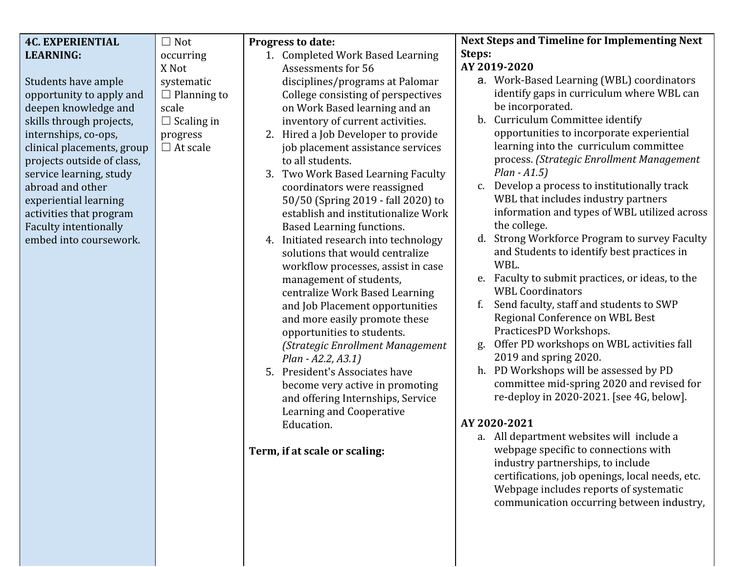|                            |                    |                                          | <b>Next Steps and Timeline for Implementing Next</b> |
|----------------------------|--------------------|------------------------------------------|------------------------------------------------------|
| <b>4C. EXPERIENTIAL</b>    | $\Box$ Not         | Progress to date:                        |                                                      |
| <b>LEARNING:</b>           | occurring          | 1. Completed Work Based Learning         | Steps:<br>AY 2019-2020                               |
|                            | X Not              | <b>Assessments for 56</b>                |                                                      |
| Students have ample        | systematic         | disciplines/programs at Palomar          | a. Work-Based Learning (WBL) coordinators            |
| opportunity to apply and   | $\Box$ Planning to | College consisting of perspectives       | identify gaps in curriculum where WBL can            |
| deepen knowledge and       | scale              | on Work Based learning and an            | be incorporated.                                     |
| skills through projects,   | $\Box$ Scaling in  | inventory of current activities.         | b. Curriculum Committee identify                     |
| internships, co-ops,       | progress           | Hired a Job Developer to provide<br>2.   | opportunities to incorporate experiential            |
| clinical placements, group | $\Box$ At scale    | job placement assistance services        | learning into the curriculum committee               |
| projects outside of class, |                    | to all students.                         | process. (Strategic Enrollment Management            |
| service learning, study    |                    | Two Work Based Learning Faculty<br>3.    | $Plan - A1.5)$                                       |
| abroad and other           |                    | coordinators were reassigned             | Develop a process to institutionally track<br>C.     |
| experiential learning      |                    | 50/50 (Spring 2019 - fall 2020) to       | WBL that includes industry partners                  |
| activities that program    |                    | establish and institutionalize Work      | information and types of WBL utilized across         |
| Faculty intentionally      |                    | <b>Based Learning functions.</b>         | the college.                                         |
| embed into coursework.     |                    | Initiated research into technology<br>4. | d. Strong Workforce Program to survey Faculty        |
|                            |                    | solutions that would centralize          | and Students to identify best practices in           |
|                            |                    | workflow processes, assist in case       | WBL.                                                 |
|                            |                    | management of students,                  | e. Faculty to submit practices, or ideas, to the     |
|                            |                    | centralize Work Based Learning           | <b>WBL Coordinators</b>                              |
|                            |                    | and Job Placement opportunities          | Send faculty, staff and students to SWP<br>f.        |
|                            |                    | and more easily promote these            | Regional Conference on WBL Best                      |
|                            |                    | opportunities to students.               | PracticesPD Workshops.                               |
|                            |                    | (Strategic Enrollment Management         | Offer PD workshops on WBL activities fall<br>g.      |
|                            |                    | Plan - A2.2, A3.1)                       | 2019 and spring 2020.                                |
|                            |                    | 5. President's Associates have           | PD Workshops will be assessed by PD<br>h.            |
|                            |                    | become very active in promoting          | committee mid-spring 2020 and revised for            |
|                            |                    | and offering Internships, Service        | re-deploy in 2020-2021. [see 4G, below].             |
|                            |                    | Learning and Cooperative                 |                                                      |
|                            |                    | Education.                               | AY 2020-2021                                         |
|                            |                    |                                          | a. All department websites will include a            |
|                            |                    | Term, if at scale or scaling:            | webpage specific to connections with                 |
|                            |                    |                                          | industry partnerships, to include                    |
|                            |                    |                                          | certifications, job openings, local needs, etc.      |
|                            |                    |                                          | Webpage includes reports of systematic               |
|                            |                    |                                          | communication occurring between industry,            |
|                            |                    |                                          |                                                      |
|                            |                    |                                          |                                                      |
|                            |                    |                                          |                                                      |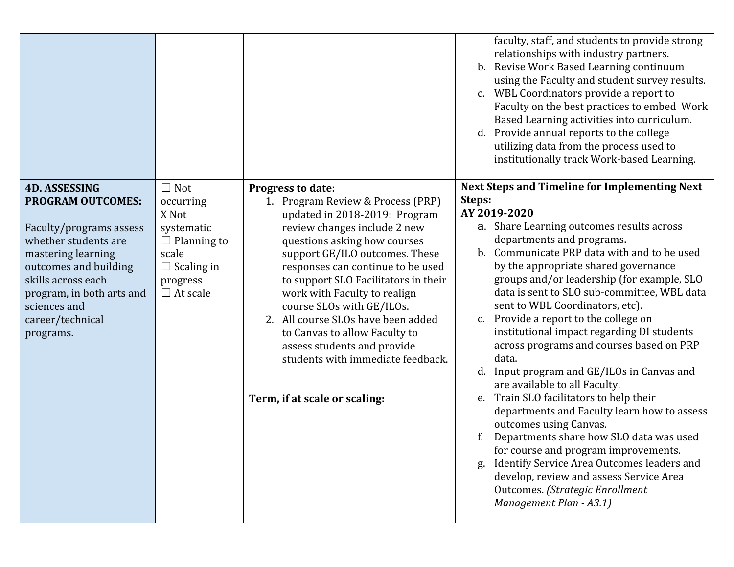|                                                                                                                                                                                                                                |                                                                                                                     |                                                                                                                                                                                                                                                                                                                                                                                                                                                                                | faculty, staff, and students to provide strong<br>relationships with industry partners.<br>b. Revise Work Based Learning continuum<br>using the Faculty and student survey results.<br>c. WBL Coordinators provide a report to<br>Faculty on the best practices to embed Work<br>Based Learning activities into curriculum.<br>d. Provide annual reports to the college<br>utilizing data from the process used to<br>institutionally track Work-based Learning.<br><b>Next Steps and Timeline for Implementing Next</b>                           |
|--------------------------------------------------------------------------------------------------------------------------------------------------------------------------------------------------------------------------------|---------------------------------------------------------------------------------------------------------------------|--------------------------------------------------------------------------------------------------------------------------------------------------------------------------------------------------------------------------------------------------------------------------------------------------------------------------------------------------------------------------------------------------------------------------------------------------------------------------------|----------------------------------------------------------------------------------------------------------------------------------------------------------------------------------------------------------------------------------------------------------------------------------------------------------------------------------------------------------------------------------------------------------------------------------------------------------------------------------------------------------------------------------------------------|
| <b>PROGRAM OUTCOMES:</b><br>Faculty/programs assess<br>whether students are<br>mastering learning<br>outcomes and building<br>skills across each<br>program, in both arts and<br>sciences and<br>career/technical<br>programs. | occurring<br>X Not<br>systematic<br>$\Box$ Planning to<br>scale<br>$\Box$ Scaling in<br>progress<br>$\Box$ At scale | Progress to date:<br>1. Program Review & Process (PRP)<br>updated in 2018-2019: Program<br>review changes include 2 new<br>questions asking how courses<br>support GE/ILO outcomes. These<br>responses can continue to be used<br>to support SLO Facilitators in their<br>work with Faculty to realign<br>course SLOs with GE/ILOs.<br>2. All course SLOs have been added<br>to Canvas to allow Faculty to<br>assess students and provide<br>students with immediate feedback. | Steps:<br>AY 2019-2020<br>a. Share Learning outcomes results across<br>departments and programs.<br>b. Communicate PRP data with and to be used<br>by the appropriate shared governance<br>groups and/or leadership (for example, SLO<br>data is sent to SLO sub-committee, WBL data<br>sent to WBL Coordinators, etc).<br>c. Provide a report to the college on<br>institutional impact regarding DI students<br>across programs and courses based on PRP<br>data.<br>d. Input program and GE/ILOs in Canvas and<br>are available to all Faculty. |
|                                                                                                                                                                                                                                |                                                                                                                     | Term, if at scale or scaling:                                                                                                                                                                                                                                                                                                                                                                                                                                                  | e. Train SLO facilitators to help their<br>departments and Faculty learn how to assess<br>outcomes using Canvas.<br>Departments share how SLO data was used<br>for course and program improvements.<br>Identify Service Area Outcomes leaders and<br>g.<br>develop, review and assess Service Area<br>Outcomes. (Strategic Enrollment<br>Management Plan - A3.1)                                                                                                                                                                                   |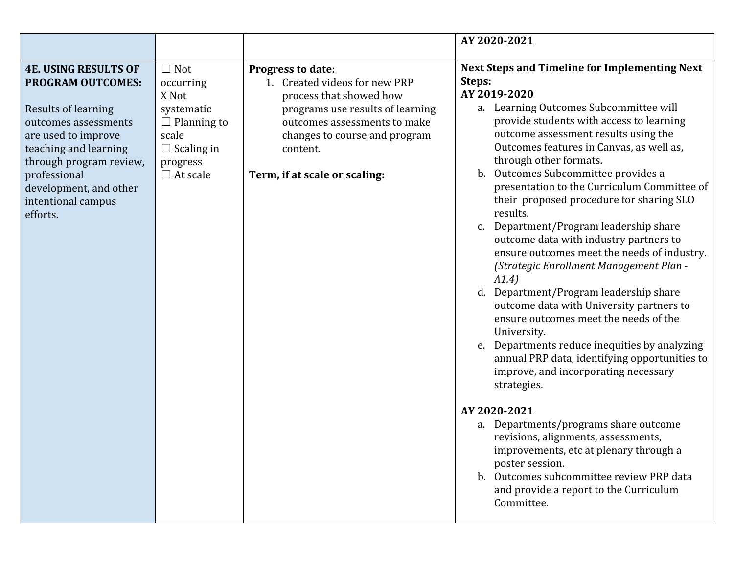|                                                                                                                                                                                                                                                               |                                                                                                                                   |                                                                                                                                                                                                                                        | AY 2020-2021                                                                                                                                                                                                                                                                                                                                                                                                                                                                                                                                                                                                                                                                                                                                                                                                                                                                                                                                                                                                                                                                                                                                                                                             |
|---------------------------------------------------------------------------------------------------------------------------------------------------------------------------------------------------------------------------------------------------------------|-----------------------------------------------------------------------------------------------------------------------------------|----------------------------------------------------------------------------------------------------------------------------------------------------------------------------------------------------------------------------------------|----------------------------------------------------------------------------------------------------------------------------------------------------------------------------------------------------------------------------------------------------------------------------------------------------------------------------------------------------------------------------------------------------------------------------------------------------------------------------------------------------------------------------------------------------------------------------------------------------------------------------------------------------------------------------------------------------------------------------------------------------------------------------------------------------------------------------------------------------------------------------------------------------------------------------------------------------------------------------------------------------------------------------------------------------------------------------------------------------------------------------------------------------------------------------------------------------------|
| <b>4E. USING RESULTS OF</b><br><b>PROGRAM OUTCOMES:</b><br>Results of learning<br>outcomes assessments<br>are used to improve<br>teaching and learning<br>through program review,<br>professional<br>development, and other<br>intentional campus<br>efforts. | $\Box$ Not<br>occurring<br>X Not<br>systematic<br>$\Box$ Planning to<br>scale<br>$\Box$ Scaling in<br>progress<br>$\Box$ At scale | <b>Progress to date:</b><br>1. Created videos for new PRP<br>process that showed how<br>programs use results of learning<br>outcomes assessments to make<br>changes to course and program<br>content.<br>Term, if at scale or scaling: | <b>Next Steps and Timeline for Implementing Next</b><br>Steps:<br>AY 2019-2020<br>a. Learning Outcomes Subcommittee will<br>provide students with access to learning<br>outcome assessment results using the<br>Outcomes features in Canvas, as well as,<br>through other formats.<br>Outcomes Subcommittee provides a<br>b.<br>presentation to the Curriculum Committee of<br>their proposed procedure for sharing SLO<br>results.<br>Department/Program leadership share<br>C.<br>outcome data with industry partners to<br>ensure outcomes meet the needs of industry.<br>(Strategic Enrollment Management Plan -<br>A1.4)<br>Department/Program leadership share<br>d.<br>outcome data with University partners to<br>ensure outcomes meet the needs of the<br>University.<br>Departments reduce inequities by analyzing<br>e.<br>annual PRP data, identifying opportunities to<br>improve, and incorporating necessary<br>strategies.<br>AY 2020-2021<br>a. Departments/programs share outcome<br>revisions, alignments, assessments,<br>improvements, etc at plenary through a<br>poster session.<br>Outcomes subcommittee review PRP data<br>and provide a report to the Curriculum<br>Committee. |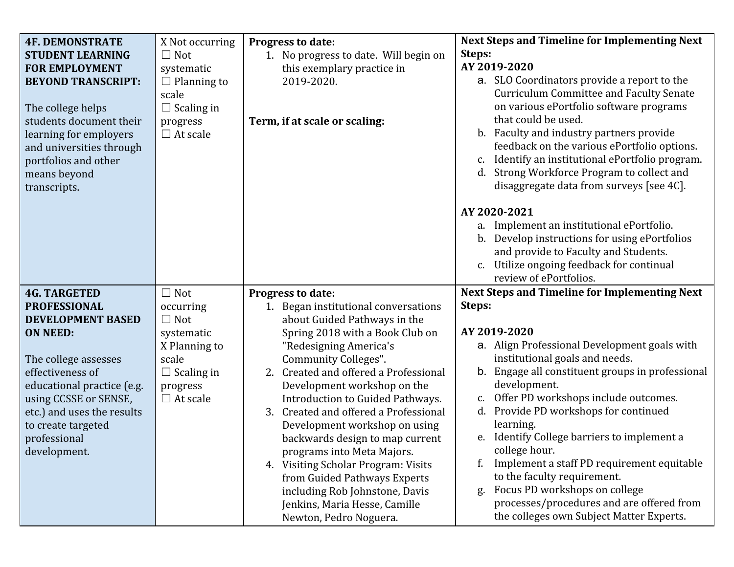| <b>4F. DEMONSTRATE</b>       | X Not occurring    | Progress to date:                                             | <b>Next Steps and Timeline for Implementing Next</b>                                  |
|------------------------------|--------------------|---------------------------------------------------------------|---------------------------------------------------------------------------------------|
| <b>STUDENT LEARNING</b>      | $\Box$ Not         | No progress to date. Will begin on<br>1.                      | Steps:                                                                                |
| <b>FOR EMPLOYMENT</b>        | systematic         | this exemplary practice in                                    | AY 2019-2020                                                                          |
| <b>BEYOND TRANSCRIPT:</b>    | $\Box$ Planning to | 2019-2020.                                                    | a. SLO Coordinators provide a report to the                                           |
|                              | scale              |                                                               | <b>Curriculum Committee and Faculty Senate</b>                                        |
| The college helps            | $\Box$ Scaling in  |                                                               | on various ePortfolio software programs                                               |
| students document their      | progress           | Term, if at scale or scaling:                                 | that could be used.                                                                   |
| learning for employers       | $\Box$ At scale    |                                                               | b. Faculty and industry partners provide                                              |
| and universities through     |                    |                                                               | feedback on the various ePortfolio options.                                           |
| portfolios and other         |                    |                                                               | Identify an institutional ePortfolio program.<br>c.                                   |
| means beyond                 |                    |                                                               | Strong Workforce Program to collect and<br>d.                                         |
| transcripts.                 |                    |                                                               | disaggregate data from surveys [see 4C].                                              |
|                              |                    |                                                               | AY 2020-2021                                                                          |
|                              |                    |                                                               | a. Implement an institutional ePortfolio.                                             |
|                              |                    |                                                               | b. Develop instructions for using ePortfolios                                         |
|                              |                    |                                                               | and provide to Faculty and Students.                                                  |
|                              |                    |                                                               | c. Utilize ongoing feedback for continual                                             |
|                              |                    |                                                               | review of ePortfolios.                                                                |
| <b>4G. TARGETED</b>          | $\Box$ Not         | Progress to date:                                             | <b>Next Steps and Timeline for Implementing Next</b>                                  |
|                              |                    |                                                               |                                                                                       |
| <b>PROFESSIONAL</b>          | occurring          | 1. Began institutional conversations                          | Steps:                                                                                |
| <b>DEVELOPMENT BASED</b>     | $\Box$ Not         | about Guided Pathways in the                                  |                                                                                       |
| <b>ON NEED:</b>              | systematic         | Spring 2018 with a Book Club on                               | AY 2019-2020                                                                          |
|                              | X Planning to      | "Redesigning America's                                        | a. Align Professional Development goals with                                          |
| The college assesses         | scale              | Community Colleges".                                          | institutional goals and needs.                                                        |
| effectiveness of             | $\Box$ Scaling in  | Created and offered a Professional<br>2.                      | b. Engage all constituent groups in professional                                      |
| educational practice (e.g.   | progress           | Development workshop on the                                   | development.                                                                          |
| using CCSSE or SENSE,        | $\Box$ At scale    | Introduction to Guided Pathways.                              | Offer PD workshops include outcomes.<br>c.                                            |
| etc.) and uses the results   |                    | Created and offered a Professional<br>3.                      | d. Provide PD workshops for continued                                                 |
| to create targeted           |                    | Development workshop on using                                 | learning.<br>e. Identify College barriers to implement a                              |
| professional<br>development. |                    | backwards design to map current<br>programs into Meta Majors. | college hour.                                                                         |
|                              |                    | 4. Visiting Scholar Program: Visits                           | f.<br>Implement a staff PD requirement equitable                                      |
|                              |                    | from Guided Pathways Experts                                  | to the faculty requirement.                                                           |
|                              |                    | including Rob Johnstone, Davis                                | Focus PD workshops on college<br>g.                                                   |
|                              |                    | Jenkins, Maria Hesse, Camille<br>Newton, Pedro Noguera.       | processes/procedures and are offered from<br>the colleges own Subject Matter Experts. |